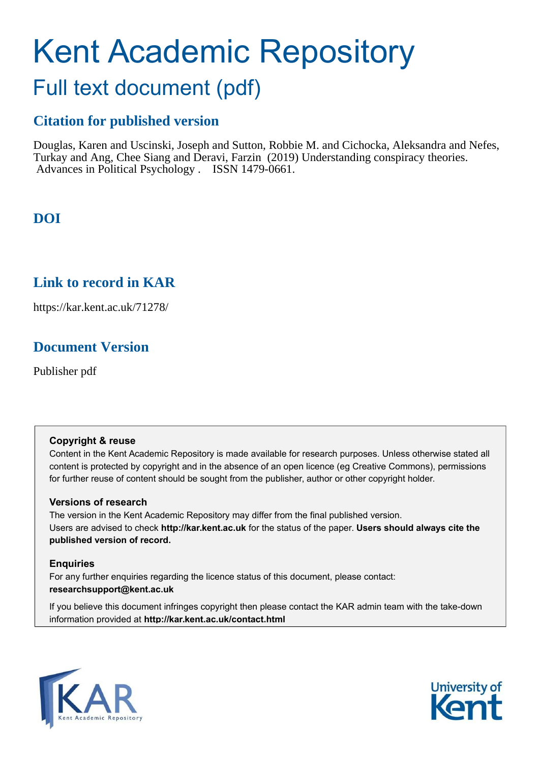# Kent Academic Repository

# Full text document (pdf)

# **Citation for published version**

Douglas, Karen and Uscinski, Joseph and Sutton, Robbie M. and Cichocka, Aleksandra and Nefes, Turkay and Ang, Chee Siang and Deravi, Farzin (2019) Understanding conspiracy theories. Advances in Political Psychology . ISSN 1479-0661.

# **DOI**

# **Link to record in KAR**

https://kar.kent.ac.uk/71278/

# **Document Version**

Publisher pdf

## **Copyright & reuse**

Content in the Kent Academic Repository is made available for research purposes. Unless otherwise stated all content is protected by copyright and in the absence of an open licence (eg Creative Commons), permissions for further reuse of content should be sought from the publisher, author or other copyright holder.

## **Versions of research**

The version in the Kent Academic Repository may differ from the final published version. Users are advised to check **http://kar.kent.ac.uk** for the status of the paper. **Users should always cite the published version of record.**

## **Enquiries**

For any further enquiries regarding the licence status of this document, please contact: **researchsupport@kent.ac.uk**

If you believe this document infringes copyright then please contact the KAR admin team with the take-down information provided at **http://kar.kent.ac.uk/contact.html**



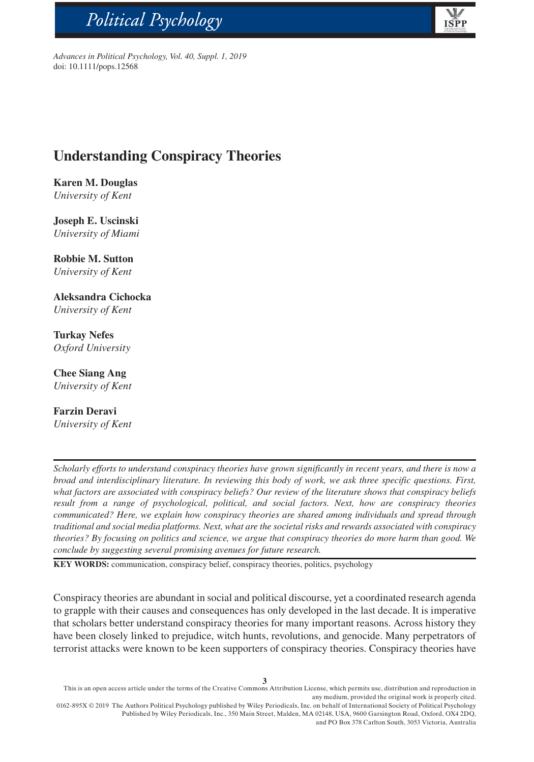# Political Psychology



*Advances in Political Psychology, Vol. 40, Suppl. 1, 2019* doi: 10.1111/pops.12568

# **Understanding Conspiracy Theories**

**Karen M. Douglas** *University of Kent*

bs\_bs\_banner

**Joseph E. Uscinski** *University of Miami*

**Robbie M. Sutton** *University of Kent*

**Aleksandra Cichocka** *University of Kent*

**Turkay Nefes** *Oxford University*

**Chee Siang Ang** *University of Kent*

**Farzin Deravi** *University of Kent*

*Scholarly efforts to understand conspiracy theories have grown significantly in recent years, and there is now a broad and interdisciplinary literature. In reviewing this body of work, we ask three specific questions. First, what factors are associated with conspiracy beliefs? Our review of the literature shows that conspiracy beliefs result from a range of psychological, political, and social factors. Next, how are conspiracy theories communicated? Here, we explain how conspiracy theories are shared among individuals and spread through traditional and social media platforms. Next, what are the societal risks and rewards associated with conspiracy theories? By focusing on politics and science, we argue that conspiracy theories do more harm than good. We conclude by suggesting several promising avenues for future research.*

**KEY WORDS:** communication, conspiracy belief, conspiracy theories, politics, psychology

Conspiracy theories are abundant in social and political discourse, yet a coordinated research agenda to grapple with their causes and consequences has only developed in the last decade. It is imperative that scholars better understand conspiracy theories for many important reasons. Across history they have been closely linked to prejudice, witch hunts, revolutions, and genocide. Many perpetrators of terrorist attacks were known to be keen supporters of conspiracy theories. Conspiracy theories have

This is an open access article under the terms of the [Creative Commons Attribution](http://creativecommons.org/licenses/by/4.0/) License, which permits use, distribution and reproduction in any medium, provided the original work is properly cited.

0162-895X © 2019 The Authors Political Psychology published by Wiley Periodicals, Inc. on behalf of International Society of Political Psychology Published by Wiley Periodicals, Inc., 350 Main Street, Malden, MA 02148, USA, 9600 Garsington Road, Oxford, OX4 2DQ, and PO Box 378 Carlton South, 3053 Victoria, Australia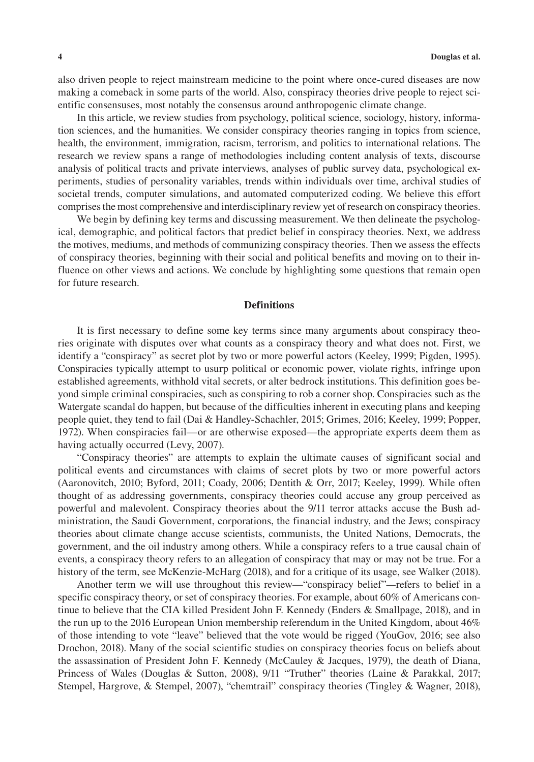also driven people to reject mainstream medicine to the point where once-cured diseases are now making a comeback in some parts of the world. Also, conspiracy theories drive people to reject scientific consensuses, most notably the consensus around anthropogenic climate change.

In this article, we review studies from psychology, political science, sociology, history, information sciences, and the humanities. We consider conspiracy theories ranging in topics from science, health, the environment, immigration, racism, terrorism, and politics to international relations. The research we review spans a range of methodologies including content analysis of texts, discourse analysis of political tracts and private interviews, analyses of public survey data, psychological experiments, studies of personality variables, trends within individuals over time, archival studies of societal trends, computer simulations, and automated computerized coding. We believe this effort comprises the most comprehensive and interdisciplinary review yet of research on conspiracy theories.

We begin by defining key terms and discussing measurement. We then delineate the psychological, demographic, and political factors that predict belief in conspiracy theories. Next, we address the motives, mediums, and methods of communizing conspiracy theories. Then we assess the effects of conspiracy theories, beginning with their social and political benefits and moving on to their influence on other views and actions. We conclude by highlighting some questions that remain open for future research.

#### **Definitions**

It is first necessary to define some key terms since many arguments about conspiracy theories originate with disputes over what counts as a conspiracy theory and what does not. First, we identify a "conspiracy" as secret plot by two or more powerful actors (Keeley, 1999; Pigden, 1995). Conspiracies typically attempt to usurp political or economic power, violate rights, infringe upon established agreements, withhold vital secrets, or alter bedrock institutions. This definition goes beyond simple criminal conspiracies, such as conspiring to rob a corner shop. Conspiracies such as the Watergate scandal do happen, but because of the difficulties inherent in executing plans and keeping people quiet, they tend to fail (Dai & Handley-Schachler, 2015; Grimes, 2016; Keeley, 1999; Popper, 1972). When conspiracies fail—or are otherwise exposed—the appropriate experts deem them as having actually occurred (Levy, 2007).

"Conspiracy theories" are attempts to explain the ultimate causes of significant social and political events and circumstances with claims of secret plots by two or more powerful actors (Aaronovitch, 2010; Byford, 2011; Coady, 2006; Dentith & Orr, 2017; Keeley, 1999). While often thought of as addressing governments, conspiracy theories could accuse any group perceived as powerful and malevolent. Conspiracy theories about the 9/11 terror attacks accuse the Bush administration, the Saudi Government, corporations, the financial industry, and the Jews; conspiracy theories about climate change accuse scientists, communists, the United Nations, Democrats, the government, and the oil industry among others. While a conspiracy refers to a true causal chain of events, a conspiracy theory refers to an allegation of conspiracy that may or may not be true. For a history of the term, see McKenzie-McHarg (2018), and for a critique of its usage, see Walker (2018).

Another term we will use throughout this review—"conspiracy belief"*—*refers to belief in a specific conspiracy theory, or set of conspiracy theories. For example, about 60% of Americans continue to believe that the CIA killed President John F. Kennedy (Enders & Smallpage, 2018), and in the run up to the 2016 European Union membership referendum in the United Kingdom, about 46% of those intending to vote "leave" believed that the vote would be rigged (YouGov, 2016; see also Drochon, 2018). Many of the social scientific studies on conspiracy theories focus on beliefs about the assassination of President John F. Kennedy (McCauley & Jacques, 1979), the death of Diana, Princess of Wales (Douglas & Sutton, 2008), 9/11 "Truther" theories (Laine & Parakkal, 2017; Stempel, Hargrove, & Stempel, 2007), "chemtrail" conspiracy theories (Tingley & Wagner, 2018),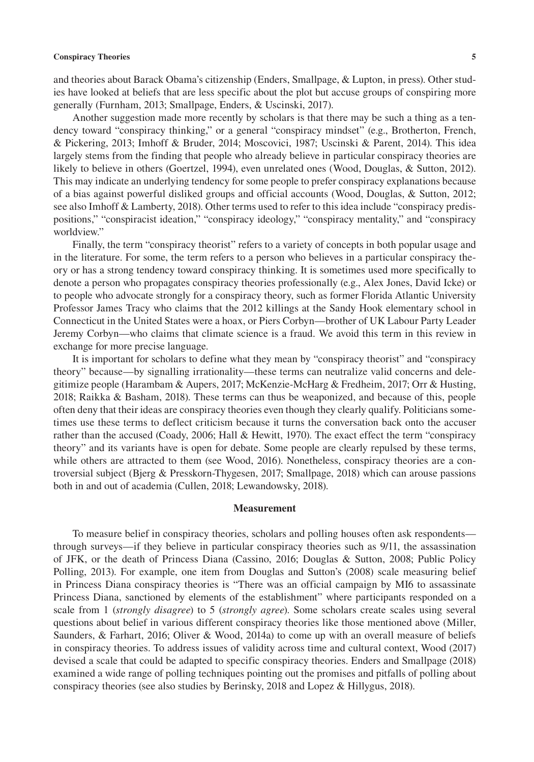and theories about Barack Obama's citizenship (Enders, Smallpage, & Lupton, in press). Other studies have looked at beliefs that are less specific about the plot but accuse groups of conspiring more generally (Furnham, 2013; Smallpage, Enders, & Uscinski, 2017).

Another suggestion made more recently by scholars is that there may be such a thing as a tendency toward "conspiracy thinking," or a general "conspiracy mindset" (e.g., Brotherton, French, & Pickering, 2013; Imhoff & Bruder, 2014; Moscovici, 1987; Uscinski & Parent, 2014). This idea largely stems from the finding that people who already believe in particular conspiracy theories are likely to believe in others (Goertzel, 1994), even unrelated ones (Wood, Douglas, & Sutton, 2012). This may indicate an underlying tendency for some people to prefer conspiracy explanations because of a bias against powerful disliked groups and official accounts (Wood, Douglas, & Sutton, 2012; see also Imhoff & Lamberty, 2018). Other terms used to refer to this idea include "conspiracy predispositions," "conspiracist ideation," "conspiracy ideology," "conspiracy mentality," and "conspiracy worldview."

Finally, the term "conspiracy theorist" refers to a variety of concepts in both popular usage and in the literature. For some, the term refers to a person who believes in a particular conspiracy theory or has a strong tendency toward conspiracy thinking. It is sometimes used more specifically to denote a person who propagates conspiracy theories professionally (e.g., Alex Jones, David Icke) or to people who advocate strongly for a conspiracy theory, such as former Florida Atlantic University Professor James Tracy who claims that the 2012 killings at the Sandy Hook elementary school in Connecticut in the United States were a hoax, or Piers Corbyn—brother of UK Labour Party Leader Jeremy Corbyn—who claims that climate science is a fraud. We avoid this term in this review in exchange for more precise language.

It is important for scholars to define what they mean by "conspiracy theorist" and "conspiracy theory" because—by signalling irrationality—these terms can neutralize valid concerns and delegitimize people (Harambam & Aupers, 2017; McKenzie-McHarg & Fredheim, 2017; Orr & Husting, 2018; Raikka & Basham, 2018). These terms can thus be weaponized, and because of this, people often deny that their ideas are conspiracy theories even though they clearly qualify. Politicians sometimes use these terms to deflect criticism because it turns the conversation back onto the accuser rather than the accused (Coady, 2006; Hall & Hewitt, 1970). The exact effect the term "conspiracy theory" and its variants have is open for debate. Some people are clearly repulsed by these terms, while others are attracted to them (see Wood, 2016). Nonetheless, conspiracy theories are a controversial subject (Bjerg & Presskorn-Thygesen, 2017; Smallpage, 2018) which can arouse passions both in and out of academia (Cullen, 2018; Lewandowsky, 2018).

#### **Measurement**

To measure belief in conspiracy theories, scholars and polling houses often ask respondents through surveys—if they believe in particular conspiracy theories such as 9/11, the assassination of JFK, or the death of Princess Diana (Cassino, 2016; Douglas & Sutton, 2008; Public Policy Polling, 2013). For example, one item from Douglas and Sutton's (2008) scale measuring belief in Princess Diana conspiracy theories is "There was an official campaign by MI6 to assassinate Princess Diana, sanctioned by elements of the establishment" where participants responded on a scale from 1 (*strongly disagree*) to 5 (*strongly agree*). Some scholars create scales using several questions about belief in various different conspiracy theories like those mentioned above (Miller, Saunders, & Farhart, 2016; Oliver & Wood, 2014a) to come up with an overall measure of beliefs in conspiracy theories. To address issues of validity across time and cultural context, Wood (2017) devised a scale that could be adapted to specific conspiracy theories. Enders and Smallpage (2018) examined a wide range of polling techniques pointing out the promises and pitfalls of polling about conspiracy theories (see also studies by Berinsky, 2018 and Lopez & Hillygus, 2018).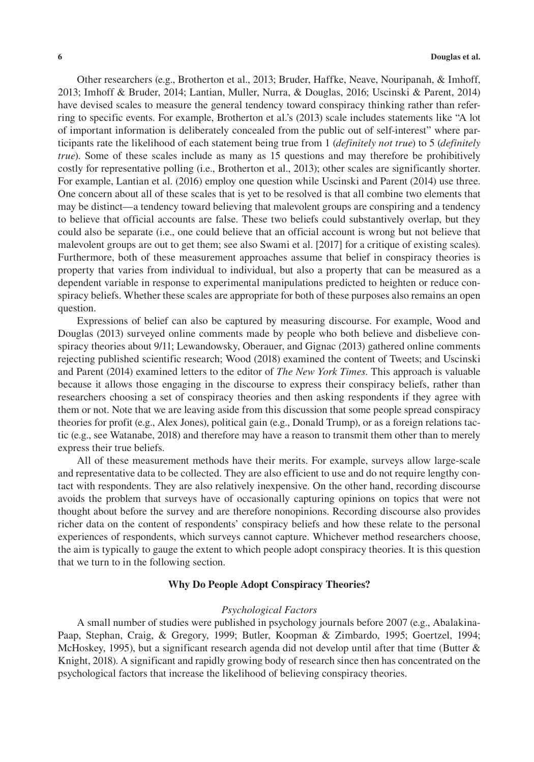Other researchers (e.g., Brotherton et al., 2013; Bruder, Haffke, Neave, Nouripanah, & Imhoff, 2013; Imhoff & Bruder, 2014; Lantian, Muller, Nurra, & Douglas, 2016; Uscinski & Parent, 2014) have devised scales to measure the general tendency toward conspiracy thinking rather than referring to specific events. For example, Brotherton et al.'s (2013) scale includes statements like "A lot of important information is deliberately concealed from the public out of self-interest" where participants rate the likelihood of each statement being true from 1 (*definitely not true*) to 5 (*definitely true*). Some of these scales include as many as 15 questions and may therefore be prohibitively costly for representative polling (i.e., Brotherton et al., 2013); other scales are significantly shorter. For example, Lantian et al. (2016) employ one question while Uscinski and Parent (2014) use three. One concern about all of these scales that is yet to be resolved is that all combine two elements that may be distinct—a tendency toward believing that malevolent groups are conspiring and a tendency to believe that official accounts are false. These two beliefs could substantively overlap, but they could also be separate (i.e., one could believe that an official account is wrong but not believe that malevolent groups are out to get them; see also Swami et al. [2017] for a critique of existing scales). Furthermore, both of these measurement approaches assume that belief in conspiracy theories is property that varies from individual to individual, but also a property that can be measured as a dependent variable in response to experimental manipulations predicted to heighten or reduce conspiracy beliefs. Whether these scales are appropriate for both of these purposes also remains an open question.

Expressions of belief can also be captured by measuring discourse. For example, Wood and Douglas (2013) surveyed online comments made by people who both believe and disbelieve conspiracy theories about 9/11; Lewandowsky, Oberauer, and Gignac (2013) gathered online comments rejecting published scientific research; Wood (2018) examined the content of Tweets; and Uscinski and Parent (2014) examined letters to the editor of *The New York Times*. This approach is valuable because it allows those engaging in the discourse to express their conspiracy beliefs, rather than researchers choosing a set of conspiracy theories and then asking respondents if they agree with them or not. Note that we are leaving aside from this discussion that some people spread conspiracy theories for profit (e.g., Alex Jones), political gain (e.g., Donald Trump), or as a foreign relations tactic (e.g., see Watanabe, 2018) and therefore may have a reason to transmit them other than to merely express their true beliefs.

All of these measurement methods have their merits. For example, surveys allow large-scale and representative data to be collected. They are also efficient to use and do not require lengthy contact with respondents. They are also relatively inexpensive. On the other hand, recording discourse avoids the problem that surveys have of occasionally capturing opinions on topics that were not thought about before the survey and are therefore nonopinions. Recording discourse also provides richer data on the content of respondents' conspiracy beliefs and how these relate to the personal experiences of respondents, which surveys cannot capture. Whichever method researchers choose, the aim is typically to gauge the extent to which people adopt conspiracy theories. It is this question that we turn to in the following section.

#### **Why Do People Adopt Conspiracy Theories?**

#### *Psychological Factors*

A small number of studies were published in psychology journals before 2007 (e.g., Abalakina-Paap, Stephan, Craig, & Gregory, 1999; Butler, Koopman & Zimbardo, 1995; Goertzel, 1994; McHoskey, 1995), but a significant research agenda did not develop until after that time (Butter  $\&$ Knight, 2018). A significant and rapidly growing body of research since then has concentrated on the psychological factors that increase the likelihood of believing conspiracy theories.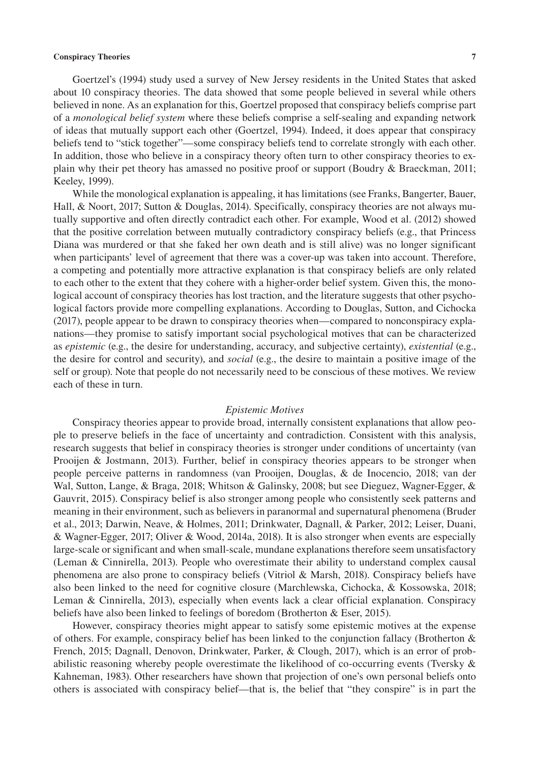Goertzel's (1994) study used a survey of New Jersey residents in the United States that asked about 10 conspiracy theories. The data showed that some people believed in several while others believed in none. As an explanation for this, Goertzel proposed that conspiracy beliefs comprise part of a *monological belief system* where these beliefs comprise a self-sealing and expanding network of ideas that mutually support each other (Goertzel, 1994). Indeed, it does appear that conspiracy beliefs tend to "stick together"—some conspiracy beliefs tend to correlate strongly with each other. In addition, those who believe in a conspiracy theory often turn to other conspiracy theories to explain why their pet theory has amassed no positive proof or support (Boudry & Braeckman, 2011; Keeley, 1999).

While the monological explanation is appealing, it has limitations (see Franks, Bangerter, Bauer, Hall, & Noort, 2017; Sutton & Douglas, 2014). Specifically, conspiracy theories are not always mutually supportive and often directly contradict each other. For example, Wood et al. (2012) showed that the positive correlation between mutually contradictory conspiracy beliefs (e.g., that Princess Diana was murdered or that she faked her own death and is still alive) was no longer significant when participants' level of agreement that there was a cover-up was taken into account. Therefore, a competing and potentially more attractive explanation is that conspiracy beliefs are only related to each other to the extent that they cohere with a higher-order belief system. Given this, the monological account of conspiracy theories has lost traction, and the literature suggests that other psychological factors provide more compelling explanations. According to Douglas, Sutton, and Cichocka (2017), people appear to be drawn to conspiracy theories when—compared to nonconspiracy explanations—they promise to satisfy important social psychological motives that can be characterized as *epistemic* (e.g., the desire for understanding, accuracy, and subjective certainty), *existential* (e.g., the desire for control and security), and *social* (e.g., the desire to maintain a positive image of the self or group). Note that people do not necessarily need to be conscious of these motives. We review each of these in turn.

#### *Epistemic Motives*

Conspiracy theories appear to provide broad, internally consistent explanations that allow people to preserve beliefs in the face of uncertainty and contradiction. Consistent with this analysis, research suggests that belief in conspiracy theories is stronger under conditions of uncertainty (van Prooijen & Jostmann, 2013). Further, belief in conspiracy theories appears to be stronger when people perceive patterns in randomness (van Prooijen, Douglas, & de Inocencio, 2018; van der Wal, Sutton, Lange, & Braga, 2018; Whitson & Galinsky, 2008; but see Dieguez, Wagner-Egger, & Gauvrit, 2015). Conspiracy belief is also stronger among people who consistently seek patterns and meaning in their environment, such as believers in paranormal and supernatural phenomena (Bruder et al., 2013; Darwin, Neave, & Holmes, 2011; Drinkwater, Dagnall, & Parker, 2012; Leiser, Duani, & Wagner-Egger, 2017; Oliver & Wood, 2014a, 2018). It is also stronger when events are especially large-scale or significant and when small-scale, mundane explanations therefore seem unsatisfactory (Leman & Cinnirella, 2013). People who overestimate their ability to understand complex causal phenomena are also prone to conspiracy beliefs (Vitriol & Marsh, 2018). Conspiracy beliefs have also been linked to the need for cognitive closure (Marchlewska, Cichocka, & Kossowska, 2018; Leman & Cinnirella, 2013), especially when events lack a clear official explanation. Conspiracy beliefs have also been linked to feelings of boredom (Brotherton & Eser, 2015).

However, conspiracy theories might appear to satisfy some epistemic motives at the expense of others. For example, conspiracy belief has been linked to the conjunction fallacy (Brotherton & French, 2015; Dagnall, Denovon, Drinkwater, Parker, & Clough, 2017), which is an error of probabilistic reasoning whereby people overestimate the likelihood of co-occurring events (Tversky & Kahneman, 1983). Other researchers have shown that projection of one's own personal beliefs onto others is associated with conspiracy belief—that is, the belief that "they conspire" is in part the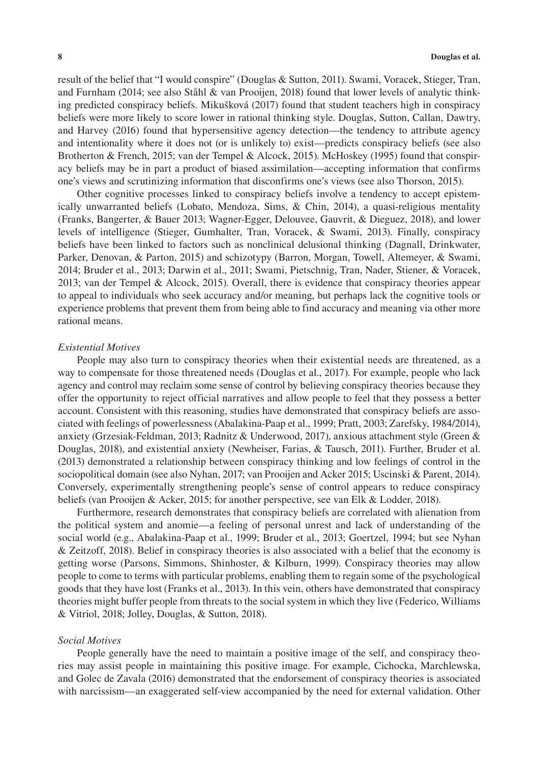result of the belief that "I would conspire" (Douglas & Sutton, 2011). Swami, Voracek, Stieger, Tran, and Furnham (2014; see also Ståhl & van Prooijen, 2018) found that lower levels of analytic thinking predicted conspiracy beliefs. Mikušková (2017) found that student teachers high in conspiracy beliefs were more likely to score lower in rational thinking style. Douglas, Sutton, Callan, Dawtry, and Harvey (2016) found that hypersensitive agency detection—the tendency to attribute agency and intentionality where it does not (or is unlikely to) exist—predicts conspiracy beliefs (see also Brotherton & French, 2015; van der Tempel & Alcock, 2015). McHoskey (1995) found that conspiracy beliefs may be in part a product of biased assimilation—accepting information that confirms one's views and scrutinizing information that disconfirms one's views (see also Thorson, 2015).

Other cognitive processes linked to conspiracy beliefs involve a tendency to accept epistemically unwarranted beliefs (Lobato, Mendoza, Sims, & Chin, 2014), a quasi-religious mentality (Franks, Bangerter, & Bauer 2013; Wagner-Egger, Delouvee, Gauvrit, & Dieguez, 2018), and lower levels of intelligence (Stieger, Gumhalter, Tran, Voracek, & Swami, 2013). Finally, conspiracy beliefs have been linked to factors such as nonclinical delusional thinking (Dagnall, Drinkwater, Parker, Denovan, & Parton, 2015) and schizotypy (Barron, Morgan, Towell, Altemeyer, & Swami, 2014; Bruder et al., 2013; Darwin et al., 2011; Swami, Pietschnig, Tran, Nader, Stiener, & Voracek, 2013; van der Tempel & Alcock, 2015). Overall, there is evidence that conspiracy theories appear to appeal to individuals who seek accuracy and/or meaning, but perhaps lack the cognitive tools or experience problems that prevent them from being able to find accuracy and meaning via other more rational means.

#### *Existential Motives*

People may also turn to conspiracy theories when their existential needs are threatened, as a way to compensate for those threatened needs (Douglas et al., 2017). For example, people who lack agency and control may reclaim some sense of control by believing conspiracy theories because they offer the opportunity to reject official narratives and allow people to feel that they possess a better account. Consistent with this reasoning, studies have demonstrated that conspiracy beliefs are associated with feelings of powerlessness (Abalakina-Paap et al., 1999; Pratt, 2003; Zarefsky, 1984/2014), anxiety (Grzesiak-Feldman, 2013; Radnitz & Underwood, 2017), anxious attachment style (Green & Douglas, 2018), and existential anxiety (Newheiser, Farias, & Tausch, 2011). Further, Bruder et al. (2013) demonstrated a relationship between conspiracy thinking and low feelings of control in the sociopolitical domain (see also Nyhan, 2017; van Prooijen and Acker 2015; Uscinski & Parent, 2014). Conversely, experimentally strengthening people's sense of control appears to reduce conspiracy beliefs (van Prooijen & Acker, 2015; for another perspective, see van Elk & Lodder, 2018).

Furthermore, research demonstrates that conspiracy beliefs are correlated with alienation from the political system and anomie—a feeling of personal unrest and lack of understanding of the social world (e.g., Abalakina-Paap et al., 1999; Bruder et al., 2013; Goertzel, 1994; but see Nyhan & Zeitzoff, 2018). Belief in conspiracy theories is also associated with a belief that the economy is getting worse (Parsons, Simmons, Shinhoster, & Kilburn, 1999). Conspiracy theories may allow people to come to terms with particular problems, enabling them to regain some of the psychological goods that they have lost (Franks et al., 2013). In this vein, others have demonstrated that conspiracy theories might buffer people from threats to the social system in which they live (Federico, Williams & Vitriol, 2018; Jolley, Douglas, & Sutton, 2018).

#### *Social Motives*

People generally have the need to maintain a positive image of the self, and conspiracy theories may assist people in maintaining this positive image. For example, Cichocka, Marchlewska, and Golec de Zavala (2016) demonstrated that the endorsement of conspiracy theories is associated with narcissism—an exaggerated self-view accompanied by the need for external validation. Other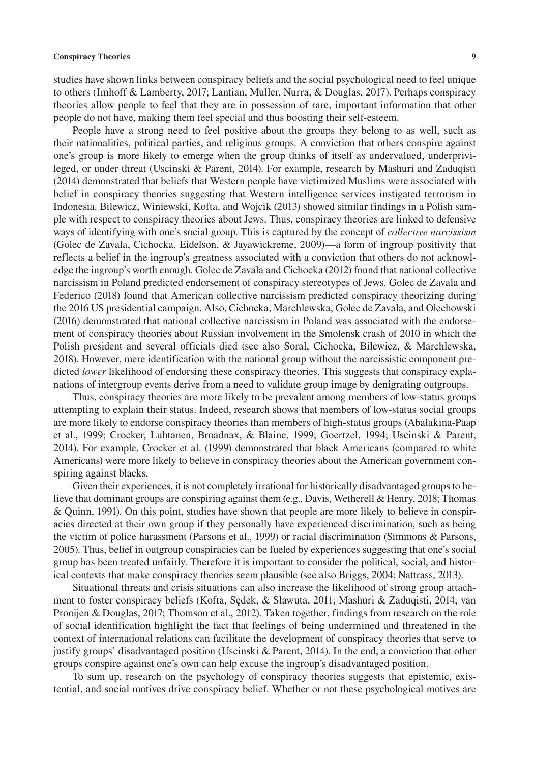studies have shown links between conspiracy beliefs and the social psychological need to feel unique to others (Imhoff & Lamberty, 2017; Lantian, Muller, Nurra, & Douglas, 2017). Perhaps conspiracy theories allow people to feel that they are in possession of rare, important information that other people do not have, making them feel special and thus boosting their self-esteem.

People have a strong need to feel positive about the groups they belong to as well, such as their nationalities, political parties, and religious groups. A conviction that others conspire against one's group is more likely to emerge when the group thinks of itself as undervalued, underprivileged, or under threat (Uscinski & Parent, 2014). For example, research by Mashuri and Zaduqisti (2014) demonstrated that beliefs that Western people have victimized Muslims were associated with belief in conspiracy theories suggesting that Western intelligence services instigated terrorism in Indonesia. Bilewicz, Winiewski, Kofta, and Wojcik (2013) showed similar findings in a Polish sample with respect to conspiracy theories about Jews. Thus, conspiracy theories are linked to defensive ways of identifying with one's social group. This is captured by the concept of *collective narcissism* (Golec de Zavala, Cichocka, Eidelson, & Jayawickreme, 2009)—a form of ingroup positivity that reflects a belief in the ingroup's greatness associated with a conviction that others do not acknowledge the ingroup's worth enough. Golec de Zavala and Cichocka (2012) found that national collective narcissism in Poland predicted endorsement of conspiracy stereotypes of Jews. Golec de Zavala and Federico (2018) found that American collective narcissism predicted conspiracy theorizing during the 2016 US presidential campaign. Also, Cichocka, Marchlewska, Golec de Zavala, and Olechowski (2016) demonstrated that national collective narcissism in Poland was associated with the endorsement of conspiracy theories about Russian involvement in the Smolensk crash of 2010 in which the Polish president and several officials died (see also Soral, Cichocka, Bilewicz, & Marchlewska, 2018). However, mere identification with the national group without the narcissistic component predicted *lower* likelihood of endorsing these conspiracy theories. This suggests that conspiracy explanations of intergroup events derive from a need to validate group image by denigrating outgroups.

Thus, conspiracy theories are more likely to be prevalent among members of low-status groups attempting to explain their status. Indeed, research shows that members of low-status social groups are more likely to endorse conspiracy theories than members of high-status groups (Abalakina-Paap et al., 1999; Crocker, Luhtanen, Broadnax, & Blaine, 1999; Goertzel, 1994; Uscinski & Parent, 2014). For example, Crocker et al. (1999) demonstrated that black Americans (compared to white Americans) were more likely to believe in conspiracy theories about the American government conspiring against blacks.

Given their experiences, it is not completely irrational for historically disadvantaged groups to believe that dominant groups are conspiring against them (e.g., Davis, Wetherell & Henry, 2018; Thomas & Quinn, 1991). On this point, studies have shown that people are more likely to believe in conspiracies directed at their own group if they personally have experienced discrimination, such as being the victim of police harassment (Parsons et al., 1999) or racial discrimination (Simmons & Parsons, 2005). Thus, belief in outgroup conspiracies can be fueled by experiences suggesting that one's social group has been treated unfairly. Therefore it is important to consider the political, social, and historical contexts that make conspiracy theories seem plausible (see also Briggs, 2004; Nattrass, 2013).

Situational threats and crisis situations can also increase the likelihood of strong group attachment to foster conspiracy beliefs (Kofta, Sędek, & Sławuta, 2011; Mashuri & Zaduqisti, 2014; van Prooijen & Douglas, 2017; Thomson et al., 2012). Taken together, findings from research on the role of social identification highlight the fact that feelings of being undermined and threatened in the context of international relations can facilitate the development of conspiracy theories that serve to justify groups' disadvantaged position (Uscinski & Parent, 2014). In the end, a conviction that other groups conspire against one's own can help excuse the ingroup's disadvantaged position.

To sum up, research on the psychology of conspiracy theories suggests that epistemic, existential, and social motives drive conspiracy belief. Whether or not these psychological motives are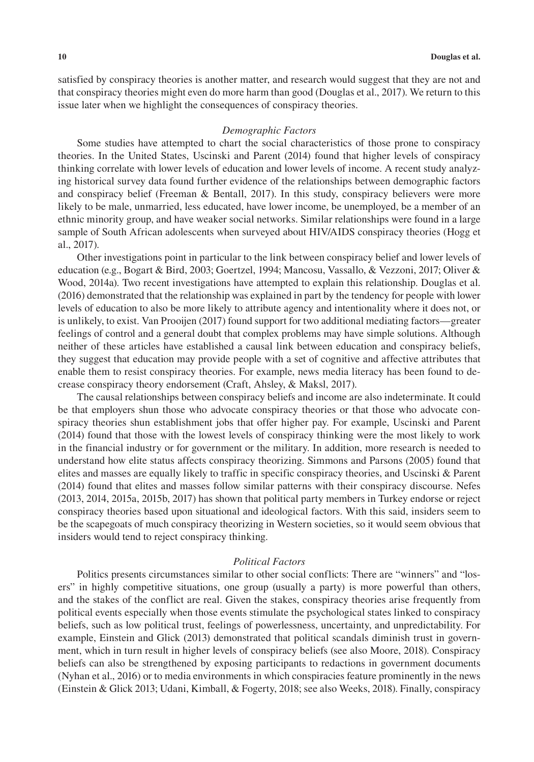satisfied by conspiracy theories is another matter, and research would suggest that they are not and that conspiracy theories might even do more harm than good (Douglas et al., 2017). We return to this issue later when we highlight the consequences of conspiracy theories.

#### *Demographic Factors*

Some studies have attempted to chart the social characteristics of those prone to conspiracy theories. In the United States, Uscinski and Parent (2014) found that higher levels of conspiracy thinking correlate with lower levels of education and lower levels of income. A recent study analyzing historical survey data found further evidence of the relationships between demographic factors and conspiracy belief (Freeman & Bentall, 2017). In this study, conspiracy believers were more likely to be male, unmarried, less educated, have lower income, be unemployed, be a member of an ethnic minority group, and have weaker social networks. Similar relationships were found in a large sample of South African adolescents when surveyed about HIV/AIDS conspiracy theories (Hogg et al., 2017).

Other investigations point in particular to the link between conspiracy belief and lower levels of education (e.g., Bogart & Bird, 2003; Goertzel, 1994; Mancosu, Vassallo, & Vezzoni, 2017; Oliver & Wood, 2014a). Two recent investigations have attempted to explain this relationship. Douglas et al. (2016) demonstrated that the relationship was explained in part by the tendency for people with lower levels of education to also be more likely to attribute agency and intentionality where it does not, or is unlikely, to exist. Van Prooijen (2017) found support for two additional mediating factors—greater feelings of control and a general doubt that complex problems may have simple solutions. Although neither of these articles have established a causal link between education and conspiracy beliefs, they suggest that education may provide people with a set of cognitive and affective attributes that enable them to resist conspiracy theories. For example, news media literacy has been found to decrease conspiracy theory endorsement (Craft, Ahsley, & Maksl, 2017).

The causal relationships between conspiracy beliefs and income are also indeterminate. It could be that employers shun those who advocate conspiracy theories or that those who advocate conspiracy theories shun establishment jobs that offer higher pay. For example, Uscinski and Parent (2014) found that those with the lowest levels of conspiracy thinking were the most likely to work in the financial industry or for government or the military. In addition, more research is needed to understand how elite status affects conspiracy theorizing. Simmons and Parsons (2005) found that elites and masses are equally likely to traffic in specific conspiracy theories, and Uscinski & Parent (2014) found that elites and masses follow similar patterns with their conspiracy discourse. Nefes (2013, 2014, 2015a, 2015b, 2017) has shown that political party members in Turkey endorse or reject conspiracy theories based upon situational and ideological factors. With this said, insiders seem to be the scapegoats of much conspiracy theorizing in Western societies, so it would seem obvious that insiders would tend to reject conspiracy thinking.

#### *Political Factors*

Politics presents circumstances similar to other social conflicts: There are "winners" and "losers" in highly competitive situations, one group (usually a party) is more powerful than others, and the stakes of the conflict are real. Given the stakes, conspiracy theories arise frequently from political events especially when those events stimulate the psychological states linked to conspiracy beliefs, such as low political trust, feelings of powerlessness, uncertainty, and unpredictability. For example, Einstein and Glick (2013) demonstrated that political scandals diminish trust in government, which in turn result in higher levels of conspiracy beliefs (see also Moore, 2018). Conspiracy beliefs can also be strengthened by exposing participants to redactions in government documents (Nyhan et al., 2016) or to media environments in which conspiracies feature prominently in the news (Einstein & Glick 2013; Udani, Kimball, & Fogerty, 2018; see also Weeks, 2018). Finally, conspiracy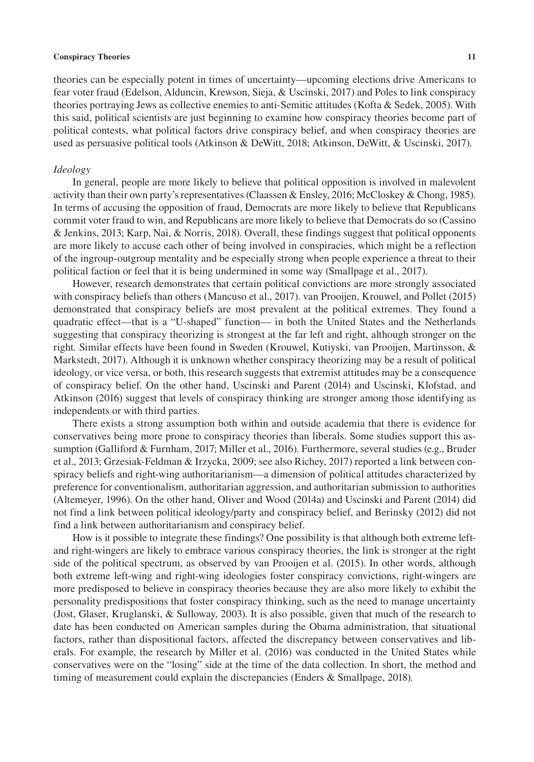theories can be especially potent in times of uncertainty—upcoming elections drive Americans to fear voter fraud (Edelson, Alduncin, Krewson, Sieja, & Uscinski, 2017) and Poles to link conspiracy theories portraying Jews as collective enemies to anti-Semitic attitudes (Kofta & Sedek, 2005). With this said, political scientists are just beginning to examine how conspiracy theories become part of political contests, what political factors drive conspiracy belief, and when conspiracy theories are used as persuasive political tools (Atkinson & DeWitt, 2018; Atkinson, DeWitt, & Uscinski, 2017).

#### *Ideology*

In general, people are more likely to believe that political opposition is involved in malevolent activity than their own party's representatives (Claassen & Ensley, 2016; McCloskey & Chong, 1985). In terms of accusing the opposition of fraud, Democrats are more likely to believe that Republicans commit voter fraud to win, and Republicans are more likely to believe that Democrats do so (Cassino & Jenkins, 2013; Karp, Nai, & Norris, 2018). Overall, these findings suggest that political opponents are more likely to accuse each other of being involved in conspiracies, which might be a reflection of the ingroup-outgroup mentality and be especially strong when people experience a threat to their political faction or feel that it is being undermined in some way (Smallpage et al., 2017).

However, research demonstrates that certain political convictions are more strongly associated with conspiracy beliefs than others (Mancuso et al., 2017). van Prooijen, Krouwel, and Pollet (2015) demonstrated that conspiracy beliefs are most prevalent at the political extremes. They found a quadratic effect—that is a "U-shaped" function— in both the United States and the Netherlands suggesting that conspiracy theorizing is strongest at the far left and right, although stronger on the right. Similar effects have been found in Sweden (Krouwel, Kutiyski, van Prooijen, Martinsson, & Markstedt, 2017). Although it is unknown whether conspiracy theorizing may be a result of political ideology, or vice versa, or both, this research suggests that extremist attitudes may be a consequence of conspiracy belief. On the other hand, Uscinski and Parent (2014) and Uscinski, Klofstad, and Atkinson (2016) suggest that levels of conspiracy thinking are stronger among those identifying as independents or with third parties.

There exists a strong assumption both within and outside academia that there is evidence for conservatives being more prone to conspiracy theories than liberals. Some studies support this assumption (Galliford & Furnham, 2017; Miller et al., 2016). Furthermore, several studies (e.g., Bruder et al., 2013; Grzesiak-Feldman & Irzycka, 2009; see also Richey, 2017) reported a link between conspiracy beliefs and right-wing authoritarianism—a dimension of political attitudes characterized by preference for conventionalism, authoritarian aggression, and authoritarian submission to authorities (Altemeyer, 1996). On the other hand, Oliver and Wood (2014a) and Uscinski and Parent (2014) did not find a link between political ideology/party and conspiracy belief, and Berinsky (2012) did not find a link between authoritarianism and conspiracy belief.

How is it possible to integrate these findings? One possibility is that although both extreme leftand right-wingers are likely to embrace various conspiracy theories, the link is stronger at the right side of the political spectrum, as observed by van Prooijen et al. (2015). In other words, although both extreme left-wing and right-wing ideologies foster conspiracy convictions, right-wingers are more predisposed to believe in conspiracy theories because they are also more likely to exhibit the personality predispositions that foster conspiracy thinking, such as the need to manage uncertainty (Jost, Glaser, Kruglanski, & Sulloway, 2003). It is also possible, given that much of the research to date has been conducted on American samples during the Obama administration, that situational factors, rather than dispositional factors, affected the discrepancy between conservatives and liberals. For example, the research by Miller et al. (2016) was conducted in the United States while conservatives were on the "losing" side at the time of the data collection. In short, the method and timing of measurement could explain the discrepancies (Enders & Smallpage, 2018).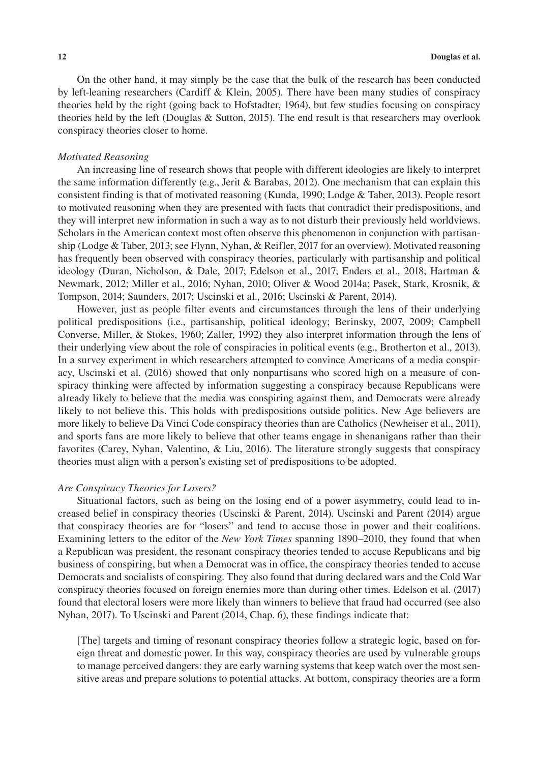On the other hand, it may simply be the case that the bulk of the research has been conducted by left-leaning researchers (Cardiff & Klein, 2005). There have been many studies of conspiracy theories held by the right (going back to Hofstadter, 1964), but few studies focusing on conspiracy theories held by the left (Douglas & Sutton, 2015). The end result is that researchers may overlook conspiracy theories closer to home.

#### *Motivated Reasoning*

An increasing line of research shows that people with different ideologies are likely to interpret the same information differently (e.g., Jerit & Barabas, 2012). One mechanism that can explain this consistent finding is that of motivated reasoning (Kunda, 1990; Lodge & Taber, 2013). People resort to motivated reasoning when they are presented with facts that contradict their predispositions, and they will interpret new information in such a way as to not disturb their previously held worldviews. Scholars in the American context most often observe this phenomenon in conjunction with partisanship (Lodge & Taber, 2013; see Flynn, Nyhan, & Reifler, 2017 for an overview). Motivated reasoning has frequently been observed with conspiracy theories, particularly with partisanship and political ideology (Duran, Nicholson, & Dale, 2017; Edelson et al., 2017; Enders et al., 2018; Hartman & Newmark, 2012; Miller et al., 2016; Nyhan, 2010; Oliver & Wood 2014a; Pasek, Stark, Krosnik, & Tompson, 2014; Saunders, 2017; Uscinski et al., 2016; Uscinski & Parent, 2014).

However, just as people filter events and circumstances through the lens of their underlying political predispositions (i.e., partisanship, political ideology; Berinsky, 2007, 2009; Campbell Converse, Miller, & Stokes, 1960; Zaller, 1992) they also interpret information through the lens of their underlying view about the role of conspiracies in political events (e.g., Brotherton et al., 2013). In a survey experiment in which researchers attempted to convince Americans of a media conspiracy, Uscinski et al. (2016) showed that only nonpartisans who scored high on a measure of conspiracy thinking were affected by information suggesting a conspiracy because Republicans were already likely to believe that the media was conspiring against them, and Democrats were already likely to not believe this. This holds with predispositions outside politics. New Age believers are more likely to believe Da Vinci Code conspiracy theories than are Catholics (Newheiser et al., 2011), and sports fans are more likely to believe that other teams engage in shenanigans rather than their favorites (Carey, Nyhan, Valentino, & Liu, 2016). The literature strongly suggests that conspiracy theories must align with a person's existing set of predispositions to be adopted.

#### *Are Conspiracy Theories for Losers?*

Situational factors, such as being on the losing end of a power asymmetry, could lead to increased belief in conspiracy theories (Uscinski & Parent, 2014). Uscinski and Parent (2014) argue that conspiracy theories are for "losers" and tend to accuse those in power and their coalitions. Examining letters to the editor of the *New York Times* spanning 1890–2010, they found that when a Republican was president, the resonant conspiracy theories tended to accuse Republicans and big business of conspiring, but when a Democrat was in office, the conspiracy theories tended to accuse Democrats and socialists of conspiring. They also found that during declared wars and the Cold War conspiracy theories focused on foreign enemies more than during other times. Edelson et al. (2017) found that electoral losers were more likely than winners to believe that fraud had occurred (see also Nyhan, 2017). To Uscinski and Parent (2014, Chap. 6), these findings indicate that:

[The] targets and timing of resonant conspiracy theories follow a strategic logic, based on foreign threat and domestic power. In this way, conspiracy theories are used by vulnerable groups to manage perceived dangers: they are early warning systems that keep watch over the most sensitive areas and prepare solutions to potential attacks. At bottom, conspiracy theories are a form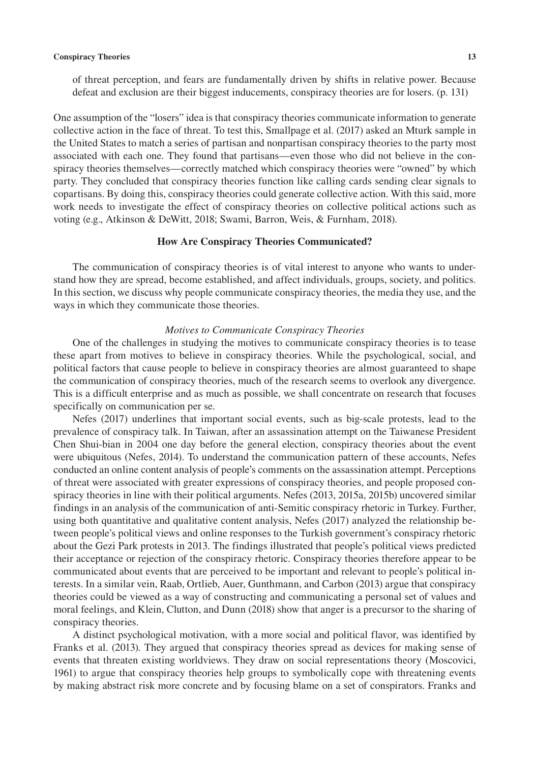of threat perception, and fears are fundamentally driven by shifts in relative power. Because defeat and exclusion are their biggest inducements, conspiracy theories are for losers. (p. 131)

One assumption of the "losers" idea is that conspiracy theories communicate information to generate collective action in the face of threat. To test this, Smallpage et al. (2017) asked an Mturk sample in the United States to match a series of partisan and nonpartisan conspiracy theories to the party most associated with each one. They found that partisans—even those who did not believe in the conspiracy theories themselves—correctly matched which conspiracy theories were "owned" by which party. They concluded that conspiracy theories function like calling cards sending clear signals to copartisans. By doing this, conspiracy theories could generate collective action. With this said, more work needs to investigate the effect of conspiracy theories on collective political actions such as voting (e.g., Atkinson & DeWitt, 2018; Swami, Barron, Weis, & Furnham, 2018).

#### **How Are Conspiracy Theories Communicated?**

The communication of conspiracy theories is of vital interest to anyone who wants to understand how they are spread, become established, and affect individuals, groups, society, and politics. In this section, we discuss why people communicate conspiracy theories, the media they use, and the ways in which they communicate those theories.

#### *Motives to Communicate Conspiracy Theories*

One of the challenges in studying the motives to communicate conspiracy theories is to tease these apart from motives to believe in conspiracy theories. While the psychological, social, and political factors that cause people to believe in conspiracy theories are almost guaranteed to shape the communication of conspiracy theories, much of the research seems to overlook any divergence. This is a difficult enterprise and as much as possible, we shall concentrate on research that focuses specifically on communication per se.

Nefes (2017) underlines that important social events, such as big-scale protests, lead to the prevalence of conspiracy talk. In Taiwan, after an assassination attempt on the Taiwanese President Chen Shui-bian in 2004 one day before the general election, conspiracy theories about the event were ubiquitous (Nefes, 2014). To understand the communication pattern of these accounts, Nefes conducted an online content analysis of people's comments on the assassination attempt. Perceptions of threat were associated with greater expressions of conspiracy theories, and people proposed conspiracy theories in line with their political arguments. Nefes (2013, 2015a, 2015b) uncovered similar findings in an analysis of the communication of anti-Semitic conspiracy rhetoric in Turkey. Further, using both quantitative and qualitative content analysis, Nefes (2017) analyzed the relationship between people's political views and online responses to the Turkish government's conspiracy rhetoric about the Gezi Park protests in 2013. The findings illustrated that people's political views predicted their acceptance or rejection of the conspiracy rhetoric. Conspiracy theories therefore appear to be communicated about events that are perceived to be important and relevant to people's political interests. In a similar vein, Raab, Ortlieb, Auer, Gunthmann, and Carbon (2013) argue that conspiracy theories could be viewed as a way of constructing and communicating a personal set of values and moral feelings, and Klein, Clutton, and Dunn (2018) show that anger is a precursor to the sharing of conspiracy theories.

A distinct psychological motivation, with a more social and political flavor, was identified by Franks et al. (2013). They argued that conspiracy theories spread as devices for making sense of events that threaten existing worldviews. They draw on social representations theory (Moscovici, 1961) to argue that conspiracy theories help groups to symbolically cope with threatening events by making abstract risk more concrete and by focusing blame on a set of conspirators. Franks and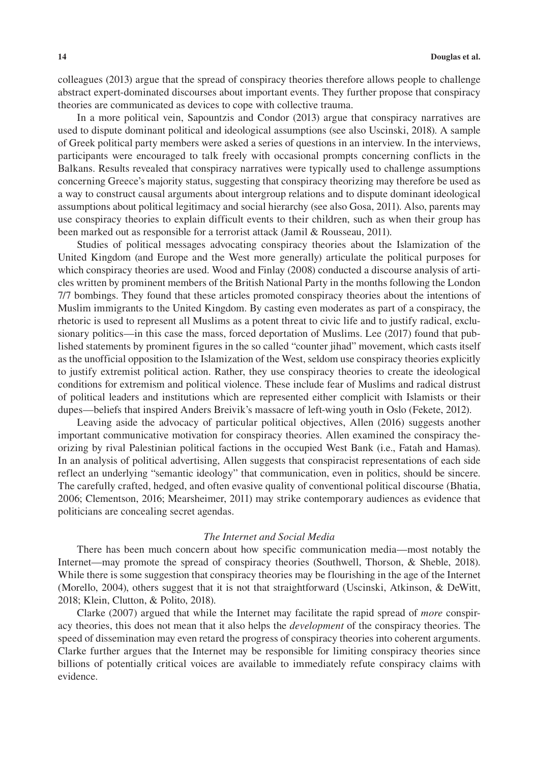colleagues (2013) argue that the spread of conspiracy theories therefore allows people to challenge abstract expert-dominated discourses about important events. They further propose that conspiracy theories are communicated as devices to cope with collective trauma.

In a more political vein, Sapountzis and Condor (2013) argue that conspiracy narratives are used to dispute dominant political and ideological assumptions (see also Uscinski, 2018). A sample of Greek political party members were asked a series of questions in an interview. In the interviews, participants were encouraged to talk freely with occasional prompts concerning conflicts in the Balkans. Results revealed that conspiracy narratives were typically used to challenge assumptions concerning Greece's majority status, suggesting that conspiracy theorizing may therefore be used as a way to construct causal arguments about intergroup relations and to dispute dominant ideological assumptions about political legitimacy and social hierarchy (see also Gosa, 2011). Also, parents may use conspiracy theories to explain difficult events to their children, such as when their group has been marked out as responsible for a terrorist attack (Jamil & Rousseau, 2011).

Studies of political messages advocating conspiracy theories about the Islamization of the United Kingdom (and Europe and the West more generally) articulate the political purposes for which conspiracy theories are used. Wood and Finlay (2008) conducted a discourse analysis of articles written by prominent members of the British National Party in the months following the London 7/7 bombings. They found that these articles promoted conspiracy theories about the intentions of Muslim immigrants to the United Kingdom. By casting even moderates as part of a conspiracy, the rhetoric is used to represent all Muslims as a potent threat to civic life and to justify radical, exclusionary politics—in this case the mass, forced deportation of Muslims. Lee (2017) found that published statements by prominent figures in the so called "counter jihad" movement, which casts itself as the unofficial opposition to the Islamization of the West, seldom use conspiracy theories explicitly to justify extremist political action. Rather, they use conspiracy theories to create the ideological conditions for extremism and political violence. These include fear of Muslims and radical distrust of political leaders and institutions which are represented either complicit with Islamists or their dupes—beliefs that inspired Anders Breivik's massacre of left-wing youth in Oslo (Fekete, 2012).

Leaving aside the advocacy of particular political objectives, Allen (2016) suggests another important communicative motivation for conspiracy theories. Allen examined the conspiracy theorizing by rival Palestinian political factions in the occupied West Bank (i.e., Fatah and Hamas). In an analysis of political advertising, Allen suggests that conspiracist representations of each side reflect an underlying "semantic ideology" that communication, even in politics, should be sincere. The carefully crafted, hedged, and often evasive quality of conventional political discourse (Bhatia, 2006; Clementson, 2016; Mearsheimer, 2011) may strike contemporary audiences as evidence that politicians are concealing secret agendas.

#### *The Internet and Social Media*

There has been much concern about how specific communication media—most notably the Internet—may promote the spread of conspiracy theories (Southwell, Thorson, & Sheble, 2018). While there is some suggestion that conspiracy theories may be flourishing in the age of the Internet (Morello, 2004), others suggest that it is not that straightforward (Uscinski, Atkinson, & DeWitt, 2018; Klein, Clutton, & Polito, 2018).

Clarke (2007) argued that while the Internet may facilitate the rapid spread of *more* conspiracy theories, this does not mean that it also helps the *development* of the conspiracy theories. The speed of dissemination may even retard the progress of conspiracy theories into coherent arguments. Clarke further argues that the Internet may be responsible for limiting conspiracy theories since billions of potentially critical voices are available to immediately refute conspiracy claims with evidence.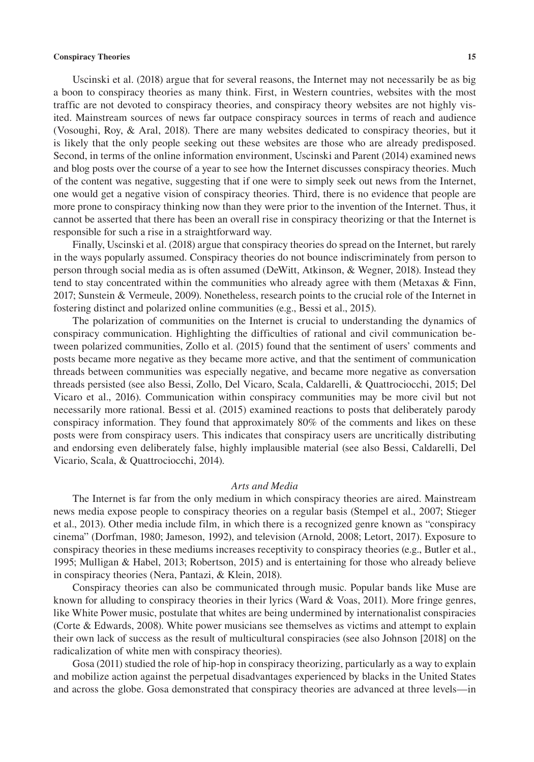Uscinski et al. (2018) argue that for several reasons, the Internet may not necessarily be as big a boon to conspiracy theories as many think. First, in Western countries, websites with the most traffic are not devoted to conspiracy theories, and conspiracy theory websites are not highly visited. Mainstream sources of news far outpace conspiracy sources in terms of reach and audience (Vosoughi, Roy, & Aral, 2018). There are many websites dedicated to conspiracy theories, but it is likely that the only people seeking out these websites are those who are already predisposed. Second, in terms of the online information environment, Uscinski and Parent (2014) examined news and blog posts over the course of a year to see how the Internet discusses conspiracy theories. Much of the content was negative, suggesting that if one were to simply seek out news from the Internet, one would get a negative vision of conspiracy theories. Third, there is no evidence that people are more prone to conspiracy thinking now than they were prior to the invention of the Internet. Thus, it cannot be asserted that there has been an overall rise in conspiracy theorizing or that the Internet is responsible for such a rise in a straightforward way.

Finally, Uscinski et al. (2018) argue that conspiracy theories do spread on the Internet, but rarely in the ways popularly assumed. Conspiracy theories do not bounce indiscriminately from person to person through social media as is often assumed (DeWitt, Atkinson, & Wegner, 2018). Instead they tend to stay concentrated within the communities who already agree with them (Metaxas & Finn, 2017; Sunstein & Vermeule, 2009). Nonetheless, research points to the crucial role of the Internet in fostering distinct and polarized online communities (e.g., Bessi et al., 2015).

The polarization of communities on the Internet is crucial to understanding the dynamics of conspiracy communication. Highlighting the difficulties of rational and civil communication between polarized communities, Zollo et al. (2015) found that the sentiment of users' comments and posts became more negative as they became more active, and that the sentiment of communication threads between communities was especially negative, and became more negative as conversation threads persisted (see also Bessi, Zollo, Del Vicaro, Scala, Caldarelli, & Quattrociocchi, 2015; Del Vicaro et al., 2016). Communication within conspiracy communities may be more civil but not necessarily more rational. Bessi et al. (2015) examined reactions to posts that deliberately parody conspiracy information. They found that approximately 80% of the comments and likes on these posts were from conspiracy users. This indicates that conspiracy users are uncritically distributing and endorsing even deliberately false, highly implausible material (see also Bessi, Caldarelli, Del Vicario, Scala, & Quattrociocchi, 2014).

#### *Arts and Media*

The Internet is far from the only medium in which conspiracy theories are aired. Mainstream news media expose people to conspiracy theories on a regular basis (Stempel et al., 2007; Stieger et al., 2013). Other media include film, in which there is a recognized genre known as "conspiracy cinema" (Dorfman, 1980; Jameson, 1992), and television (Arnold, 2008; Letort, 2017). Exposure to conspiracy theories in these mediums increases receptivity to conspiracy theories (e.g., Butler et al., 1995; Mulligan & Habel, 2013; Robertson, 2015) and is entertaining for those who already believe in conspiracy theories (Nera, Pantazi, & Klein, 2018).

Conspiracy theories can also be communicated through music. Popular bands like Muse are known for alluding to conspiracy theories in their lyrics (Ward & Voas, 2011). More fringe genres, like White Power music, postulate that whites are being undermined by internationalist conspiracies (Corte & Edwards, 2008). White power musicians see themselves as victims and attempt to explain their own lack of success as the result of multicultural conspiracies (see also Johnson [2018] on the radicalization of white men with conspiracy theories).

Gosa (2011) studied the role of hip-hop in conspiracy theorizing, particularly as a way to explain and mobilize action against the perpetual disadvantages experienced by blacks in the United States and across the globe. Gosa demonstrated that conspiracy theories are advanced at three levels—in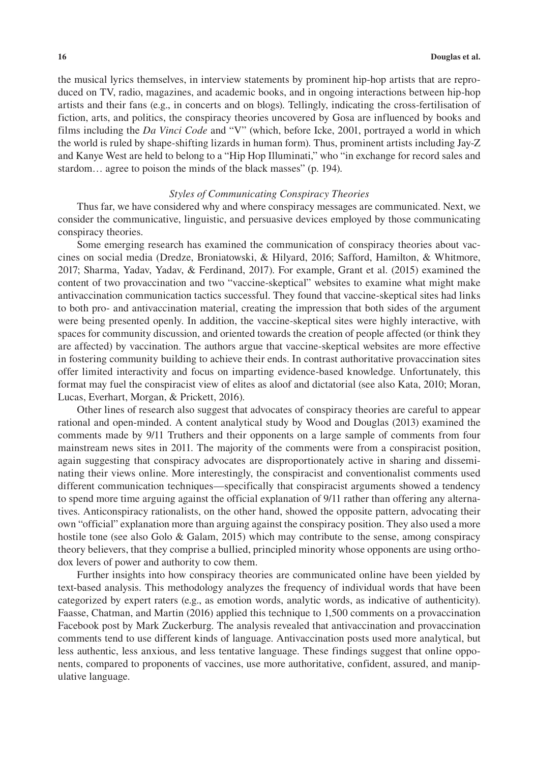the musical lyrics themselves, in interview statements by prominent hip-hop artists that are reproduced on TV, radio, magazines, and academic books, and in ongoing interactions between hip-hop artists and their fans (e.g., in concerts and on blogs). Tellingly, indicating the cross-fertilisation of fiction, arts, and politics, the conspiracy theories uncovered by Gosa are influenced by books and films including the *Da Vinci Code* and "V" (which, before Icke, 2001, portrayed a world in which the world is ruled by shape-shifting lizards in human form). Thus, prominent artists including Jay-Z and Kanye West are held to belong to a "Hip Hop Illuminati," who "in exchange for record sales and stardom… agree to poison the minds of the black masses" (p. 194).

#### *Styles of Communicating Conspiracy Theories*

Thus far, we have considered why and where conspiracy messages are communicated. Next, we consider the communicative, linguistic, and persuasive devices employed by those communicating conspiracy theories.

Some emerging research has examined the communication of conspiracy theories about vaccines on social media (Dredze, Broniatowski, & Hilyard, 2016; Safford, Hamilton, & Whitmore, 2017; Sharma, Yadav, Yadav, & Ferdinand, 2017). For example, Grant et al. (2015) examined the content of two provaccination and two "vaccine-skeptical" websites to examine what might make antivaccination communication tactics successful. They found that vaccine-skeptical sites had links to both pro- and antivaccination material, creating the impression that both sides of the argument were being presented openly. In addition, the vaccine-skeptical sites were highly interactive, with spaces for community discussion, and oriented towards the creation of people affected (or think they are affected) by vaccination. The authors argue that vaccine-skeptical websites are more effective in fostering community building to achieve their ends. In contrast authoritative provaccination sites offer limited interactivity and focus on imparting evidence-based knowledge. Unfortunately, this format may fuel the conspiracist view of elites as aloof and dictatorial (see also Kata, 2010; Moran, Lucas, Everhart, Morgan, & Prickett, 2016).

Other lines of research also suggest that advocates of conspiracy theories are careful to appear rational and open-minded. A content analytical study by Wood and Douglas (2013) examined the comments made by 9/11 Truthers and their opponents on a large sample of comments from four mainstream news sites in 2011. The majority of the comments were from a conspiracist position, again suggesting that conspiracy advocates are disproportionately active in sharing and disseminating their views online. More interestingly, the conspiracist and conventionalist comments used different communication techniques—specifically that conspiracist arguments showed a tendency to spend more time arguing against the official explanation of 9/11 rather than offering any alternatives. Anticonspiracy rationalists, on the other hand, showed the opposite pattern, advocating their own "official" explanation more than arguing against the conspiracy position. They also used a more hostile tone (see also Golo & Galam, 2015) which may contribute to the sense, among conspiracy theory believers, that they comprise a bullied, principled minority whose opponents are using orthodox levers of power and authority to cow them.

Further insights into how conspiracy theories are communicated online have been yielded by text-based analysis. This methodology analyzes the frequency of individual words that have been categorized by expert raters (e.g., as emotion words, analytic words, as indicative of authenticity). Faasse, Chatman, and Martin (2016) applied this technique to 1,500 comments on a provaccination Facebook post by Mark Zuckerburg. The analysis revealed that antivaccination and provaccination comments tend to use different kinds of language. Antivaccination posts used more analytical, but less authentic, less anxious, and less tentative language. These findings suggest that online opponents, compared to proponents of vaccines, use more authoritative, confident, assured, and manipulative language.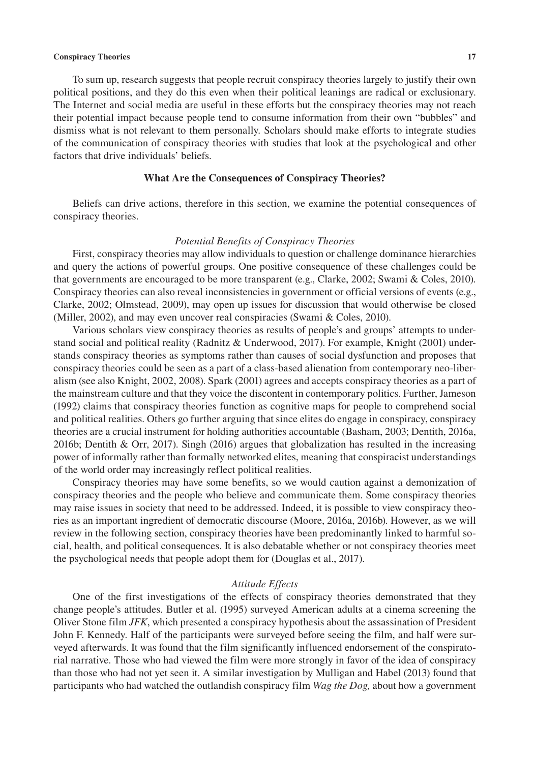To sum up, research suggests that people recruit conspiracy theories largely to justify their own political positions, and they do this even when their political leanings are radical or exclusionary. The Internet and social media are useful in these efforts but the conspiracy theories may not reach their potential impact because people tend to consume information from their own "bubbles" and dismiss what is not relevant to them personally. Scholars should make efforts to integrate studies of the communication of conspiracy theories with studies that look at the psychological and other factors that drive individuals' beliefs.

#### **What Are the Consequences of Conspiracy Theories?**

Beliefs can drive actions, therefore in this section, we examine the potential consequences of conspiracy theories.

#### *Potential Benefits of Conspiracy Theories*

First, conspiracy theories may allow individuals to question or challenge dominance hierarchies and query the actions of powerful groups. One positive consequence of these challenges could be that governments are encouraged to be more transparent (e.g., Clarke, 2002; Swami & Coles, 2010). Conspiracy theories can also reveal inconsistencies in government or official versions of events (e.g., Clarke, 2002; Olmstead, 2009), may open up issues for discussion that would otherwise be closed (Miller, 2002), and may even uncover real conspiracies (Swami & Coles, 2010).

Various scholars view conspiracy theories as results of people's and groups' attempts to understand social and political reality (Radnitz & Underwood, 2017). For example, Knight (2001) understands conspiracy theories as symptoms rather than causes of social dysfunction and proposes that conspiracy theories could be seen as a part of a class-based alienation from contemporary neo-liberalism (see also Knight, 2002, 2008). Spark (2001) agrees and accepts conspiracy theories as a part of the mainstream culture and that they voice the discontent in contemporary politics. Further, Jameson (1992) claims that conspiracy theories function as cognitive maps for people to comprehend social and political realities. Others go further arguing that since elites do engage in conspiracy, conspiracy theories are a crucial instrument for holding authorities accountable (Basham, 2003; Dentith, 2016a, 2016b; Dentith & Orr, 2017). Singh (2016) argues that globalization has resulted in the increasing power of informally rather than formally networked elites, meaning that conspiracist understandings of the world order may increasingly reflect political realities.

Conspiracy theories may have some benefits, so we would caution against a demonization of conspiracy theories and the people who believe and communicate them. Some conspiracy theories may raise issues in society that need to be addressed. Indeed, it is possible to view conspiracy theories as an important ingredient of democratic discourse (Moore, 2016a, 2016b). However, as we will review in the following section, conspiracy theories have been predominantly linked to harmful social, health, and political consequences. It is also debatable whether or not conspiracy theories meet the psychological needs that people adopt them for (Douglas et al., 2017).

#### *Attitude Effects*

One of the first investigations of the effects of conspiracy theories demonstrated that they change people's attitudes. Butler et al. (1995) surveyed American adults at a cinema screening the Oliver Stone film *JFK*, which presented a conspiracy hypothesis about the assassination of President John F. Kennedy. Half of the participants were surveyed before seeing the film, and half were surveyed afterwards. It was found that the film significantly influenced endorsement of the conspiratorial narrative. Those who had viewed the film were more strongly in favor of the idea of conspiracy than those who had not yet seen it. A similar investigation by Mulligan and Habel (2013) found that participants who had watched the outlandish conspiracy film *Wag the Dog,* about how a government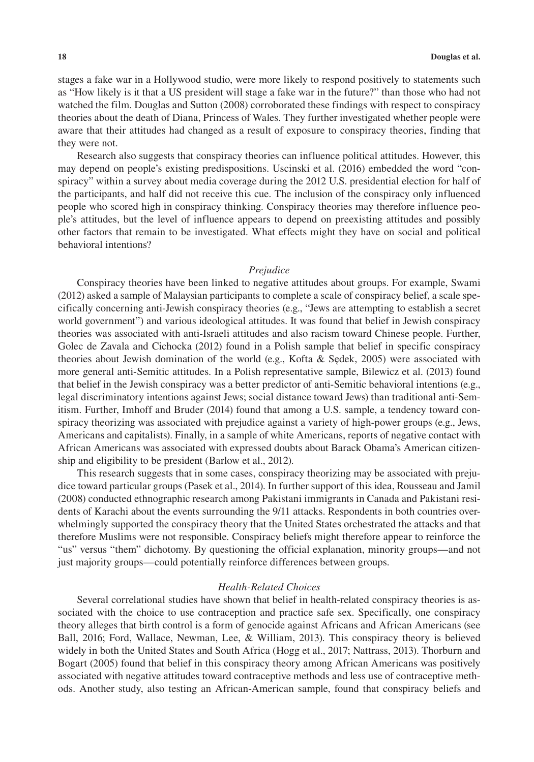stages a fake war in a Hollywood studio, were more likely to respond positively to statements such as "How likely is it that a US president will stage a fake war in the future?" than those who had not watched the film. Douglas and Sutton (2008) corroborated these findings with respect to conspiracy theories about the death of Diana, Princess of Wales. They further investigated whether people were aware that their attitudes had changed as a result of exposure to conspiracy theories, finding that they were not.

Research also suggests that conspiracy theories can influence political attitudes. However, this may depend on people's existing predispositions. Uscinski et al. (2016) embedded the word "conspiracy" within a survey about media coverage during the 2012 U.S. presidential election for half of the participants, and half did not receive this cue. The inclusion of the conspiracy only influenced people who scored high in conspiracy thinking. Conspiracy theories may therefore influence people's attitudes, but the level of influence appears to depend on preexisting attitudes and possibly other factors that remain to be investigated. What effects might they have on social and political behavioral intentions?

#### *Prejudice*

Conspiracy theories have been linked to negative attitudes about groups. For example, Swami (2012) asked a sample of Malaysian participants to complete a scale of conspiracy belief, a scale specifically concerning anti-Jewish conspiracy theories (e.g., "Jews are attempting to establish a secret world government") and various ideological attitudes. It was found that belief in Jewish conspiracy theories was associated with anti-Israeli attitudes and also racism toward Chinese people. Further, Golec de Zavala and Cichocka (2012) found in a Polish sample that belief in specific conspiracy theories about Jewish domination of the world (e.g., Kofta & Sędek, 2005) were associated with more general anti-Semitic attitudes. In a Polish representative sample, Bilewicz et al. (2013) found that belief in the Jewish conspiracy was a better predictor of anti-Semitic behavioral intentions (e.g., legal discriminatory intentions against Jews; social distance toward Jews) than traditional anti-Semitism. Further, Imhoff and Bruder (2014) found that among a U.S. sample, a tendency toward conspiracy theorizing was associated with prejudice against a variety of high-power groups (e.g., Jews, Americans and capitalists). Finally, in a sample of white Americans, reports of negative contact with African Americans was associated with expressed doubts about Barack Obama's American citizenship and eligibility to be president (Barlow et al., 2012).

This research suggests that in some cases, conspiracy theorizing may be associated with prejudice toward particular groups (Pasek et al., 2014). In further support of this idea, Rousseau and Jamil (2008) conducted ethnographic research among Pakistani immigrants in Canada and Pakistani residents of Karachi about the events surrounding the 9/11 attacks. Respondents in both countries overwhelmingly supported the conspiracy theory that the United States orchestrated the attacks and that therefore Muslims were not responsible. Conspiracy beliefs might therefore appear to reinforce the "us" versus "them" dichotomy. By questioning the official explanation, minority groups—and not just majority groups—could potentially reinforce differences between groups.

#### *Health-Related Choices*

Several correlational studies have shown that belief in health-related conspiracy theories is associated with the choice to use contraception and practice safe sex. Specifically, one conspiracy theory alleges that birth control is a form of genocide against Africans and African Americans (see Ball, 2016; Ford, Wallace, Newman, Lee, & William, 2013). This conspiracy theory is believed widely in both the United States and South Africa (Hogg et al., 2017; Nattrass, 2013). Thorburn and Bogart (2005) found that belief in this conspiracy theory among African Americans was positively associated with negative attitudes toward contraceptive methods and less use of contraceptive methods. Another study, also testing an African-American sample, found that conspiracy beliefs and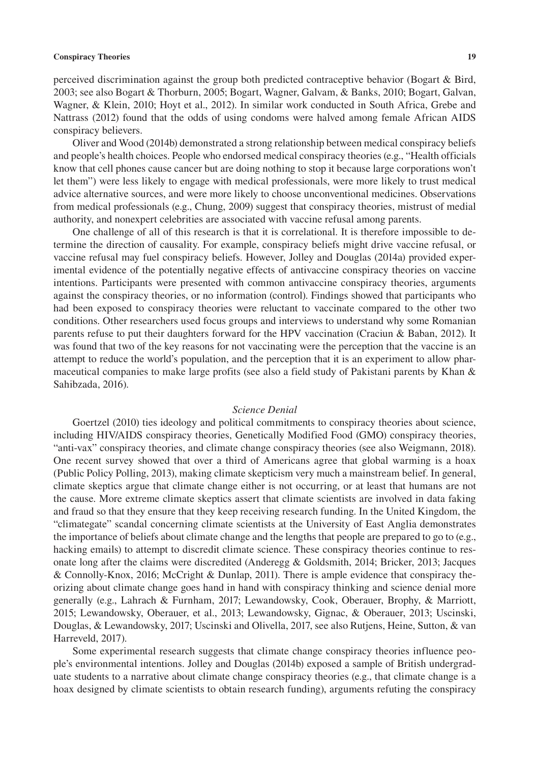perceived discrimination against the group both predicted contraceptive behavior (Bogart & Bird, 2003; see also Bogart & Thorburn, 2005; Bogart, Wagner, Galvam, & Banks, 2010; Bogart, Galvan, Wagner, & Klein, 2010; Hoyt et al., 2012). In similar work conducted in South Africa, Grebe and Nattrass (2012) found that the odds of using condoms were halved among female African AIDS conspiracy believers.

Oliver and Wood (2014b) demonstrated a strong relationship between medical conspiracy beliefs and people's health choices. People who endorsed medical conspiracy theories (e.g., "Health officials know that cell phones cause cancer but are doing nothing to stop it because large corporations won't let them") were less likely to engage with medical professionals, were more likely to trust medical advice alternative sources, and were more likely to choose unconventional medicines. Observations from medical professionals (e.g., Chung, 2009) suggest that conspiracy theories, mistrust of medial authority, and nonexpert celebrities are associated with vaccine refusal among parents.

One challenge of all of this research is that it is correlational. It is therefore impossible to determine the direction of causality. For example, conspiracy beliefs might drive vaccine refusal, or vaccine refusal may fuel conspiracy beliefs. However, Jolley and Douglas (2014a) provided experimental evidence of the potentially negative effects of antivaccine conspiracy theories on vaccine intentions. Participants were presented with common antivaccine conspiracy theories, arguments against the conspiracy theories, or no information (control). Findings showed that participants who had been exposed to conspiracy theories were reluctant to vaccinate compared to the other two conditions. Other researchers used focus groups and interviews to understand why some Romanian parents refuse to put their daughters forward for the HPV vaccination (Craciun & Baban, 2012). It was found that two of the key reasons for not vaccinating were the perception that the vaccine is an attempt to reduce the world's population, and the perception that it is an experiment to allow pharmaceutical companies to make large profits (see also a field study of Pakistani parents by Khan & Sahibzada, 2016).

#### *Science Denial*

Goertzel (2010) ties ideology and political commitments to conspiracy theories about science, including HIV/AIDS conspiracy theories, Genetically Modified Food (GMO) conspiracy theories, "anti-vax" conspiracy theories, and climate change conspiracy theories (see also Weigmann, 2018). One recent survey showed that over a third of Americans agree that global warming is a hoax (Public Policy Polling, 2013), making climate skepticism very much a mainstream belief. In general, climate skeptics argue that climate change either is not occurring, or at least that humans are not the cause. More extreme climate skeptics assert that climate scientists are involved in data faking and fraud so that they ensure that they keep receiving research funding. In the United Kingdom, the "climategate" scandal concerning climate scientists at the University of East Anglia demonstrates the importance of beliefs about climate change and the lengths that people are prepared to go to (e.g., hacking emails) to attempt to discredit climate science. These conspiracy theories continue to resonate long after the claims were discredited (Anderegg & Goldsmith, 2014; Bricker, 2013; Jacques & Connolly-Knox, 2016; McCright & Dunlap, 2011). There is ample evidence that conspiracy theorizing about climate change goes hand in hand with conspiracy thinking and science denial more generally (e.g., Lahrach & Furnham, 2017; Lewandowsky, Cook, Oberauer, Brophy, & Marriott, 2015; Lewandowsky, Oberauer, et al., 2013; Lewandowsky, Gignac, & Oberauer, 2013; Uscinski, Douglas, & Lewandowsky, 2017; Uscinski and Olivella, 2017, see also Rutjens, Heine, Sutton, & van Harreveld, 2017).

Some experimental research suggests that climate change conspiracy theories influence people's environmental intentions. Jolley and Douglas (2014b) exposed a sample of British undergraduate students to a narrative about climate change conspiracy theories (e.g., that climate change is a hoax designed by climate scientists to obtain research funding), arguments refuting the conspiracy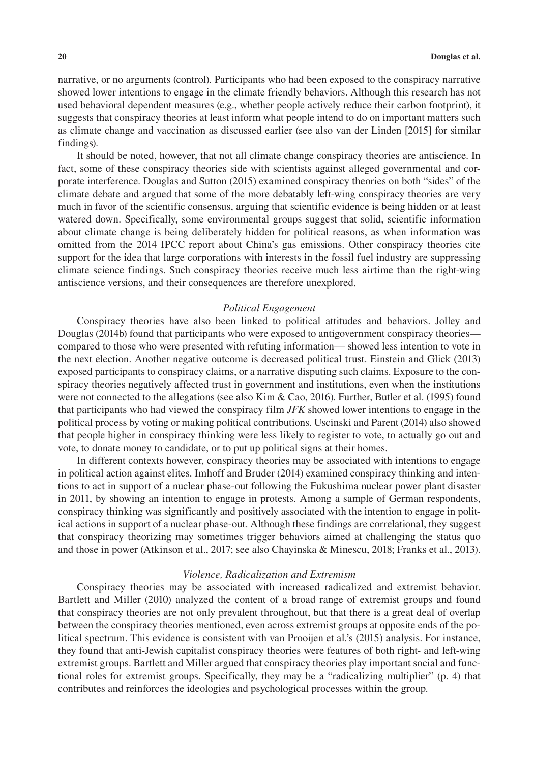narrative, or no arguments (control). Participants who had been exposed to the conspiracy narrative showed lower intentions to engage in the climate friendly behaviors. Although this research has not used behavioral dependent measures (e.g., whether people actively reduce their carbon footprint), it suggests that conspiracy theories at least inform what people intend to do on important matters such as climate change and vaccination as discussed earlier (see also van der Linden [2015] for similar findings).

It should be noted, however, that not all climate change conspiracy theories are antiscience. In fact, some of these conspiracy theories side with scientists against alleged governmental and corporate interference. Douglas and Sutton (2015) examined conspiracy theories on both "sides" of the climate debate and argued that some of the more debatably left-wing conspiracy theories are very much in favor of the scientific consensus, arguing that scientific evidence is being hidden or at least watered down. Specifically, some environmental groups suggest that solid, scientific information about climate change is being deliberately hidden for political reasons, as when information was omitted from the 2014 IPCC report about China's gas emissions. Other conspiracy theories cite support for the idea that large corporations with interests in the fossil fuel industry are suppressing climate science findings. Such conspiracy theories receive much less airtime than the right-wing antiscience versions, and their consequences are therefore unexplored.

#### *Political Engagement*

Conspiracy theories have also been linked to political attitudes and behaviors. Jolley and Douglas (2014b) found that participants who were exposed to antigovernment conspiracy theories compared to those who were presented with refuting information— showed less intention to vote in the next election. Another negative outcome is decreased political trust. Einstein and Glick (2013) exposed participants to conspiracy claims, or a narrative disputing such claims. Exposure to the conspiracy theories negatively affected trust in government and institutions, even when the institutions were not connected to the allegations (see also Kim & Cao, 2016). Further, Butler et al. (1995) found that participants who had viewed the conspiracy film *JFK* showed lower intentions to engage in the political process by voting or making political contributions. Uscinski and Parent (2014) also showed that people higher in conspiracy thinking were less likely to register to vote, to actually go out and vote, to donate money to candidate, or to put up political signs at their homes.

In different contexts however, conspiracy theories may be associated with intentions to engage in political action against elites. Imhoff and Bruder (2014) examined conspiracy thinking and intentions to act in support of a nuclear phase-out following the Fukushima nuclear power plant disaster in 2011, by showing an intention to engage in protests. Among a sample of German respondents, conspiracy thinking was significantly and positively associated with the intention to engage in political actions in support of a nuclear phase-out. Although these findings are correlational, they suggest that conspiracy theorizing may sometimes trigger behaviors aimed at challenging the status quo and those in power (Atkinson et al., 2017; see also Chayinska & Minescu, 2018; Franks et al., 2013).

#### *Violence, Radicalization and Extremism*

Conspiracy theories may be associated with increased radicalized and extremist behavior. Bartlett and Miller (2010) analyzed the content of a broad range of extremist groups and found that conspiracy theories are not only prevalent throughout, but that there is a great deal of overlap between the conspiracy theories mentioned, even across extremist groups at opposite ends of the political spectrum. This evidence is consistent with van Prooijen et al.'s (2015) analysis. For instance, they found that anti-Jewish capitalist conspiracy theories were features of both right- and left-wing extremist groups. Bartlett and Miller argued that conspiracy theories play important social and functional roles for extremist groups. Specifically, they may be a "radicalizing multiplier" (p. 4) that contributes and reinforces the ideologies and psychological processes within the group.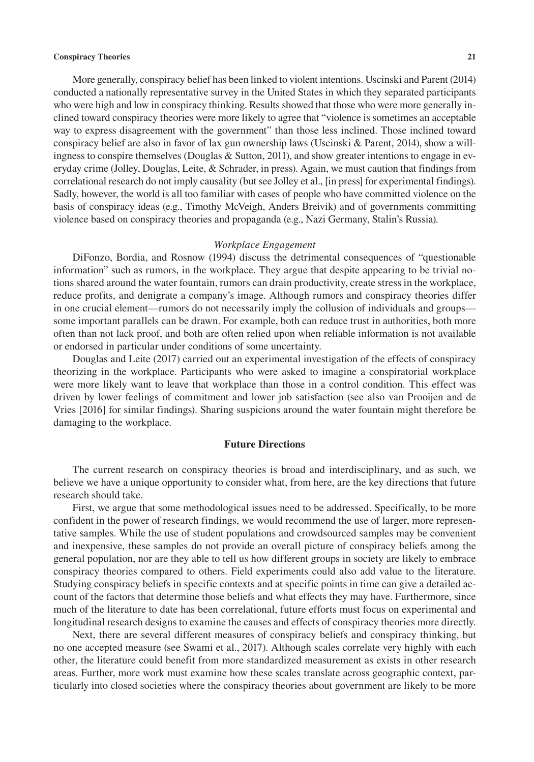More generally, conspiracy belief has been linked to violent intentions. Uscinski and Parent (2014) conducted a nationally representative survey in the United States in which they separated participants who were high and low in conspiracy thinking. Results showed that those who were more generally inclined toward conspiracy theories were more likely to agree that "violence is sometimes an acceptable way to express disagreement with the government" than those less inclined. Those inclined toward conspiracy belief are also in favor of lax gun ownership laws (Uscinski & Parent, 2014), show a willingness to conspire themselves (Douglas & Sutton, 2011), and show greater intentions to engage in everyday crime (Jolley, Douglas, Leite, & Schrader, in press). Again, we must caution that findings from correlational research do not imply causality (but see Jolley et al., [in press] for experimental findings). Sadly, however, the world is all too familiar with cases of people who have committed violence on the basis of conspiracy ideas (e.g., Timothy McVeigh, Anders Breivik) and of governments committing violence based on conspiracy theories and propaganda (e.g., Nazi Germany, Stalin's Russia).

#### *Workplace Engagement*

DiFonzo, Bordia, and Rosnow (1994) discuss the detrimental consequences of "questionable information" such as rumors, in the workplace. They argue that despite appearing to be trivial notions shared around the water fountain, rumors can drain productivity, create stress in the workplace, reduce profits, and denigrate a company's image. Although rumors and conspiracy theories differ in one crucial element—rumors do not necessarily imply the collusion of individuals and groups some important parallels can be drawn. For example, both can reduce trust in authorities, both more often than not lack proof, and both are often relied upon when reliable information is not available or endorsed in particular under conditions of some uncertainty.

Douglas and Leite (2017) carried out an experimental investigation of the effects of conspiracy theorizing in the workplace. Participants who were asked to imagine a conspiratorial workplace were more likely want to leave that workplace than those in a control condition. This effect was driven by lower feelings of commitment and lower job satisfaction (see also van Prooijen and de Vries [2016] for similar findings). Sharing suspicions around the water fountain might therefore be damaging to the workplace.

#### **Future Directions**

The current research on conspiracy theories is broad and interdisciplinary, and as such, we believe we have a unique opportunity to consider what, from here, are the key directions that future research should take.

First, we argue that some methodological issues need to be addressed. Specifically, to be more confident in the power of research findings, we would recommend the use of larger, more representative samples. While the use of student populations and crowdsourced samples may be convenient and inexpensive, these samples do not provide an overall picture of conspiracy beliefs among the general population, nor are they able to tell us how different groups in society are likely to embrace conspiracy theories compared to others. Field experiments could also add value to the literature. Studying conspiracy beliefs in specific contexts and at specific points in time can give a detailed account of the factors that determine those beliefs and what effects they may have. Furthermore, since much of the literature to date has been correlational, future efforts must focus on experimental and longitudinal research designs to examine the causes and effects of conspiracy theories more directly.

Next, there are several different measures of conspiracy beliefs and conspiracy thinking, but no one accepted measure (see Swami et al., 2017). Although scales correlate very highly with each other, the literature could benefit from more standardized measurement as exists in other research areas. Further, more work must examine how these scales translate across geographic context, particularly into closed societies where the conspiracy theories about government are likely to be more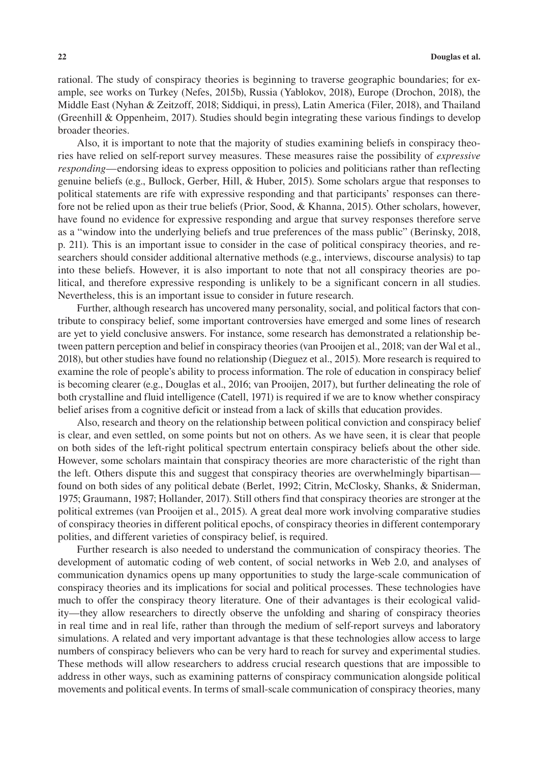rational. The study of conspiracy theories is beginning to traverse geographic boundaries; for example, see works on Turkey (Nefes, 2015b), Russia (Yablokov, 2018), Europe (Drochon, 2018), the Middle East (Nyhan & Zeitzoff, 2018; Siddiqui, in press), Latin America (Filer, 2018), and Thailand (Greenhill & Oppenheim, 2017). Studies should begin integrating these various findings to develop broader theories.

Also, it is important to note that the majority of studies examining beliefs in conspiracy theories have relied on self-report survey measures. These measures raise the possibility of *expressive responding*—endorsing ideas to express opposition to policies and politicians rather than reflecting genuine beliefs (e.g., Bullock, Gerber, Hill, & Huber, 2015). Some scholars argue that responses to political statements are rife with expressive responding and that participants' responses can therefore not be relied upon as their true beliefs (Prior, Sood, & Khanna, 2015). Other scholars, however, have found no evidence for expressive responding and argue that survey responses therefore serve as a "window into the underlying beliefs and true preferences of the mass public" (Berinsky, 2018, p. 211). This is an important issue to consider in the case of political conspiracy theories, and researchers should consider additional alternative methods (e.g., interviews, discourse analysis) to tap into these beliefs. However, it is also important to note that not all conspiracy theories are political, and therefore expressive responding is unlikely to be a significant concern in all studies. Nevertheless, this is an important issue to consider in future research.

Further, although research has uncovered many personality, social, and political factors that contribute to conspiracy belief, some important controversies have emerged and some lines of research are yet to yield conclusive answers. For instance, some research has demonstrated a relationship between pattern perception and belief in conspiracy theories (van Prooijen et al., 2018; van der Wal et al., 2018), but other studies have found no relationship (Dieguez et al., 2015). More research is required to examine the role of people's ability to process information. The role of education in conspiracy belief is becoming clearer (e.g., Douglas et al., 2016; van Prooijen, 2017), but further delineating the role of both crystalline and fluid intelligence (Catell, 1971) is required if we are to know whether conspiracy belief arises from a cognitive deficit or instead from a lack of skills that education provides.

Also, research and theory on the relationship between political conviction and conspiracy belief is clear, and even settled, on some points but not on others. As we have seen, it is clear that people on both sides of the left-right political spectrum entertain conspiracy beliefs about the other side. However, some scholars maintain that conspiracy theories are more characteristic of the right than the left. Others dispute this and suggest that conspiracy theories are overwhelmingly bipartisan found on both sides of any political debate (Berlet, 1992; Citrin, McClosky, Shanks, & Sniderman, 1975; Graumann, 1987; Hollander, 2017). Still others find that conspiracy theories are stronger at the political extremes (van Prooijen et al., 2015). A great deal more work involving comparative studies of conspiracy theories in different political epochs, of conspiracy theories in different contemporary polities, and different varieties of conspiracy belief, is required.

Further research is also needed to understand the communication of conspiracy theories. The development of automatic coding of web content, of social networks in Web 2.0, and analyses of communication dynamics opens up many opportunities to study the large-scale communication of conspiracy theories and its implications for social and political processes. These technologies have much to offer the conspiracy theory literature. One of their advantages is their ecological validity—they allow researchers to directly observe the unfolding and sharing of conspiracy theories in real time and in real life, rather than through the medium of self-report surveys and laboratory simulations. A related and very important advantage is that these technologies allow access to large numbers of conspiracy believers who can be very hard to reach for survey and experimental studies. These methods will allow researchers to address crucial research questions that are impossible to address in other ways, such as examining patterns of conspiracy communication alongside political movements and political events. In terms of small-scale communication of conspiracy theories, many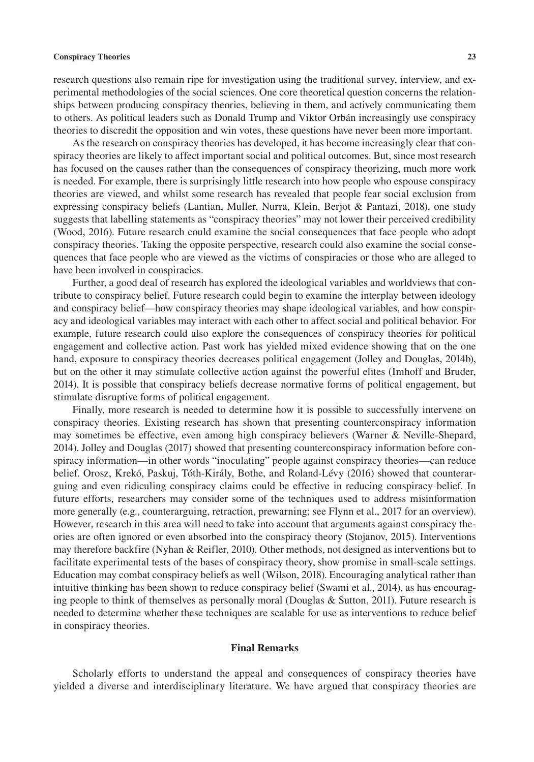research questions also remain ripe for investigation using the traditional survey, interview, and experimental methodologies of the social sciences. One core theoretical question concerns the relationships between producing conspiracy theories, believing in them, and actively communicating them to others. As political leaders such as Donald Trump and Viktor Orbán increasingly use conspiracy theories to discredit the opposition and win votes, these questions have never been more important.

As the research on conspiracy theories has developed, it has become increasingly clear that conspiracy theories are likely to affect important social and political outcomes. But, since most research has focused on the causes rather than the consequences of conspiracy theorizing, much more work is needed. For example, there is surprisingly little research into how people who espouse conspiracy theories are viewed, and whilst some research has revealed that people fear social exclusion from expressing conspiracy beliefs (Lantian, Muller, Nurra, Klein, Berjot & Pantazi, 2018), one study suggests that labelling statements as "conspiracy theories" may not lower their perceived credibility (Wood, 2016). Future research could examine the social consequences that face people who adopt conspiracy theories. Taking the opposite perspective, research could also examine the social consequences that face people who are viewed as the victims of conspiracies or those who are alleged to have been involved in conspiracies.

Further, a good deal of research has explored the ideological variables and worldviews that contribute to conspiracy belief. Future research could begin to examine the interplay between ideology and conspiracy belief—how conspiracy theories may shape ideological variables, and how conspiracy and ideological variables may interact with each other to affect social and political behavior. For example, future research could also explore the consequences of conspiracy theories for political engagement and collective action. Past work has yielded mixed evidence showing that on the one hand, exposure to conspiracy theories decreases political engagement (Jolley and Douglas, 2014b), but on the other it may stimulate collective action against the powerful elites (Imhoff and Bruder, 2014). It is possible that conspiracy beliefs decrease normative forms of political engagement, but stimulate disruptive forms of political engagement.

Finally, more research is needed to determine how it is possible to successfully intervene on conspiracy theories. Existing research has shown that presenting counterconspiracy information may sometimes be effective, even among high conspiracy believers (Warner & Neville-Shepard, 2014). Jolley and Douglas (2017) showed that presenting counterconspiracy information before conspiracy information—in other words "inoculating" people against conspiracy theories—can reduce belief. Orosz, Krekó, Paskuj, Tóth-Király, Bothe, and Roland-Lévy (2016) showed that counterarguing and even ridiculing conspiracy claims could be effective in reducing conspiracy belief. In future efforts, researchers may consider some of the techniques used to address misinformation more generally (e.g., counterarguing, retraction, prewarning; see Flynn et al., 2017 for an overview). However, research in this area will need to take into account that arguments against conspiracy theories are often ignored or even absorbed into the conspiracy theory (Stojanov, 2015). Interventions may therefore backfire (Nyhan & Reifler, 2010). Other methods, not designed as interventions but to facilitate experimental tests of the bases of conspiracy theory, show promise in small-scale settings. Education may combat conspiracy beliefs as well (Wilson, 2018). Encouraging analytical rather than intuitive thinking has been shown to reduce conspiracy belief (Swami et al., 2014), as has encouraging people to think of themselves as personally moral (Douglas & Sutton, 2011). Future research is needed to determine whether these techniques are scalable for use as interventions to reduce belief in conspiracy theories.

#### **Final Remarks**

Scholarly efforts to understand the appeal and consequences of conspiracy theories have yielded a diverse and interdisciplinary literature. We have argued that conspiracy theories are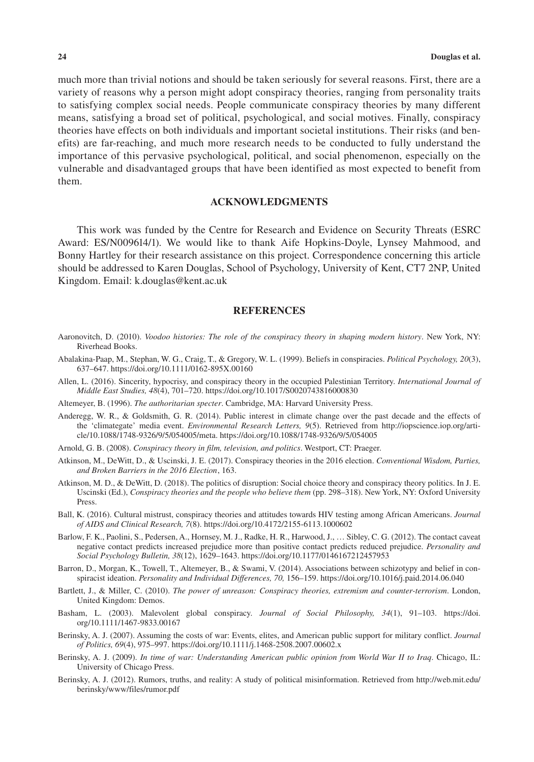much more than trivial notions and should be taken seriously for several reasons. First, there are a variety of reasons why a person might adopt conspiracy theories, ranging from personality traits to satisfying complex social needs. People communicate conspiracy theories by many different means, satisfying a broad set of political, psychological, and social motives. Finally, conspiracy theories have effects on both individuals and important societal institutions. Their risks (and benefits) are far-reaching, and much more research needs to be conducted to fully understand the importance of this pervasive psychological, political, and social phenomenon, especially on the vulnerable and disadvantaged groups that have been identified as most expected to benefit from them.

#### **ACKNOWLEDGMENTS**

This work was funded by the Centre for Research and Evidence on Security Threats (ESRC Award: ES/N009614/1). We would like to thank Aife Hopkins-Doyle, Lynsey Mahmood, and Bonny Hartley for their research assistance on this project. Correspondence concerning this article should be addressed to Karen Douglas, School of Psychology, University of Kent, CT7 2NP, United Kingdom. Email: [k.douglas@kent.ac.uk](mailto:k.douglas@kent.ac.uk)

#### **REFERENCES**

- Aaronovitch, D. (2010). *Voodoo histories: The role of the conspiracy theory in shaping modern history*. New York, NY: Riverhead Books.
- Abalakina-Paap, M., Stephan, W. G., Craig, T., & Gregory, W. L. (1999). Beliefs in conspiracies. *Political Psychology, 20*(3), 637–647. <https://doi.org/10.1111/0162-895X.00160>
- Allen, L. (2016). Sincerity, hypocrisy, and conspiracy theory in the occupied Palestinian Territory. *International Journal of Middle East Studies, 48*(4), 701–720. <https://doi.org/10.1017/S0020743816000830>
- Altemeyer, B. (1996). *The authoritarian specter*. Cambridge, MA: Harvard University Press.
- Anderegg, W. R., & Goldsmith, G. R. (2014). Public interest in climate change over the past decade and the effects of the 'climategate' media event. *Environmental Research Letters, 9*(5). Retrieved from [http://iopscience.iop.org/arti](http://iopscience.iop.org/article/10.1088/1748-9326/9/5/054005/meta)[cle/10.1088/1748-9326/9/5/054005/meta.](http://iopscience.iop.org/article/10.1088/1748-9326/9/5/054005/meta) <https://doi.org/10.1088/1748-9326/9/5/054005>
- Arnold, G. B. (2008). *Conspiracy theory in film, television, and politics*. Westport, CT: Praeger.
- Atkinson, M., DeWitt, D., & Uscinski, J. E. (2017). Conspiracy theories in the 2016 election. *Conventional Wisdom, Parties,*  and Broken Barriers in the 2016 Election, 163.
- Atkinson, M. D., & DeWitt, D. (2018). The politics of disruption: Social choice theory and conspiracy theory politics. In J. E. Uscinski (Ed.), *Conspiracy theories and the people who believe them* (pp. 298–318). New York, NY: Oxford University Press.
- Ball, K. (2016). Cultural mistrust, conspiracy theories and attitudes towards HIV testing among African Americans. *Journal of AIDS and Clinical Research, 7*(8). <https://doi.org/10.4172/2155-6113.1000602>
- Barlow, F. K., Paolini, S., Pedersen, A., Hornsey, M. J., Radke, H. R., Harwood, J., … Sibley, C. G. (2012). The contact caveat negative contact predicts increased prejudice more than positive contact predicts reduced prejudice. *Personality and Social Psychology Bulletin, 38*(12), 1629–1643. <https://doi.org/10.1177/0146167212457953>
- Barron, D., Morgan, K., Towell, T., Altemeyer, B., & Swami, V. (2014). Associations between schizotypy and belief in conspiracist ideation. *Personality and Individual Differences, 70,* 156–159. <https://doi.org/10.1016/j.paid.2014.06.040>
- Bartlett, J., & Miller, C. (2010). *The power of unreason: Conspiracy theories, extremism and counter-terrorism*. London, United Kingdom: Demos.
- Basham, L. (2003). Malevolent global conspiracy. *Journal of Social Philosophy, 34*(1), 91–103. [https://doi.](https://doi.org/10.1111/1467-9833.00167) [org/10.1111/1467-9833.00167](https://doi.org/10.1111/1467-9833.00167)
- Berinsky, A. J. (2007). Assuming the costs of war: Events, elites, and American public support for military conflict. *Journal of Politics, 69*(4), 975–997.<https://doi.org/10.1111/j.1468-2508.2007.00602.x>
- Berinsky, A. J. (2009). *In time of war: Understanding American public opinion from World War II to Iraq*. Chicago, IL: University of Chicago Press.
- Berinsky, A. J. (2012). Rumors, truths, and reality: A study of political misinformation. Retrieved from [http://web.mit.edu/](http://web.mit.edu/berinsky/www/files/rumor.pdf) [berinsky/www/files/rumor.pdf](http://web.mit.edu/berinsky/www/files/rumor.pdf)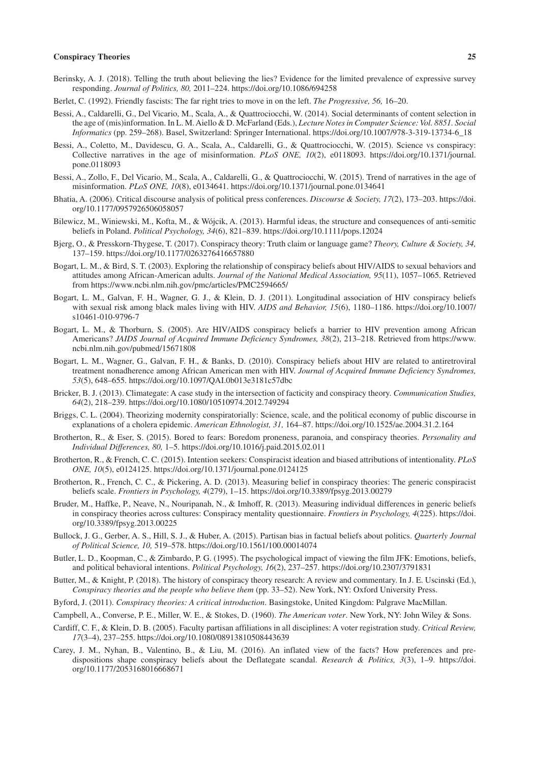- Berinsky, A. J. (2018). Telling the truth about believing the lies? Evidence for the limited prevalence of expressive survey responding. *Journal of Politics, 80,* 2011–224. <https://doi.org/10.1086/694258>
- Berlet, C. (1992). Friendly fascists: The far right tries to move in on the left. *The Progressive, 56,* 16–20.
- Bessi, A., Caldarelli, G., Del Vicario, M., Scala, A., & Quattrociocchi, W. (2014). Social determinants of content selection in the age of (mis)information. In L. M. Aiello & D. McFarland (Eds.), *Lecture Notes in Computer Science: Vol. 8851. Social Informatics* (pp. 259–268). Basel, Switzerland: Springer International. [https://doi.org/10.1007/978-3-319-13734-6\\_18](https://doi.org/10.1007/978-3-319-13734-6_18)
- Bessi, A., Coletto, M., Davidescu, G. A., Scala, A., Caldarelli, G., & Quattrociocchi, W. (2015). Science vs conspiracy: Collective narratives in the age of misinformation. *PLoS ONE, 10*(2), e0118093. [https://doi.org/10.1371/journal.](https://doi.org/10.1371/journal.pone.0118093) [pone.0118093](https://doi.org/10.1371/journal.pone.0118093)
- Bessi, A., Zollo, F., Del Vicario, M., Scala, A., Caldarelli, G., & Quattrociocchi, W. (2015). Trend of narratives in the age of misinformation. *PLoS ONE, 10*(8), e0134641. <https://doi.org/10.1371/journal.pone.0134641>
- Bhatia, A. (2006). Critical discourse analysis of political press conferences. *Discourse & Society, 17*(2), 173–203. [https://doi.](https://doi.org/10.1177/0957926506058057) [org/10.1177/0957926506058057](https://doi.org/10.1177/0957926506058057)
- Bilewicz, M., Winiewski, M., Kofta, M., & Wójcik, A. (2013). Harmful ideas, the structure and consequences of anti-semitic beliefs in Poland. *Political Psychology, 34*(6), 821–839. <https://doi.org/10.1111/pops.12024>
- Bjerg, O., & Presskorn-Thygese, T. (2017). Conspiracy theory: Truth claim or language game? *Theory, Culture & Society, 34,* 137–159.<https://doi.org/10.1177/0263276416657880>
- Bogart, L. M., & Bird, S. T. (2003). Exploring the relationship of conspiracy beliefs about HIV/AIDS to sexual behaviors and attitudes among African-American adults. *Journal of the National Medical Association, 95*(11), 1057–1065. Retrieved from <https://www.ncbi.nlm.nih.gov/pmc/articles/PMC2594665/>
- Bogart, L. M., Galvan, F. H., Wagner, G. J., & Klein, D. J. (2011). Longitudinal association of HIV conspiracy beliefs with sexual risk among black males living with HIV. *AIDS and Behavior, 15*(6), 1180–1186. [https://doi.org/10.1007/](https://doi.org/10.1007/s10461-010-9796-7) [s10461-010-9796-7](https://doi.org/10.1007/s10461-010-9796-7)
- Bogart, L. M., & Thorburn, S. (2005). Are HIV/AIDS conspiracy beliefs a barrier to HIV prevention among African Americans? *JAIDS Journal of Acquired Immune Deficiency Syndromes, 38*(2), 213–218. Retrieved from [https://www.](https://www.ncbi.nlm.nih.gov/pubmed/15671808) [ncbi.nlm.nih.gov/pubmed/15671808](https://www.ncbi.nlm.nih.gov/pubmed/15671808)
- Bogart, L. M., Wagner, G., Galvan, F. H., & Banks, D. (2010). Conspiracy beliefs about HIV are related to antiretroviral treatment nonadherence among African American men with HIV. *Journal of Acquired Immune Deficiency Syndromes, 53*(5), 648–655. <https://doi.org/10.1097/QAI.0b013e3181c57dbc>
- Bricker, B. J. (2013). Climategate: A case study in the intersection of facticity and conspiracy theory. *Communication Studies, 64*(2), 218–239. <https://doi.org/10.1080/10510974.2012.749294>
- Briggs, C. L. (2004). Theorizing modernity conspiratorially: Science, scale, and the political economy of public discourse in explanations of a cholera epidemic. *American Ethnologist, 31,* 164–87. <https://doi.org/10.1525/ae.2004.31.2.164>
- Brotherton, R., & Eser, S. (2015). Bored to fears: Boredom proneness, paranoia, and conspiracy theories. *Personality and Individual Differences, 80,* 1–5. <https://doi.org/10.1016/j.paid.2015.02.011>
- Brotherton, R., & French, C. C. (2015). Intention seekers: Conspiracist ideation and biased attributions of intentionality. *PLoS ONE, 10*(5), e0124125.<https://doi.org/10.1371/journal.pone.0124125>
- Brotherton, R., French, C. C., & Pickering, A. D. (2013). Measuring belief in conspiracy theories: The generic conspiracist beliefs scale. *Frontiers in Psychology, 4*(279), 1–15. <https://doi.org/10.3389/fpsyg.2013.00279>
- Bruder, M., Haffke, P., Neave, N., Nouripanah, N., & Imhoff, R. (2013). Measuring individual differences in generic beliefs in conspiracy theories across cultures: Conspiracy mentality questionnaire. *Frontiers in Psychology, 4*(225). [https://doi.](https://doi.org/10.3389/fpsyg.2013.00225) [org/10.3389/fpsyg.2013.00225](https://doi.org/10.3389/fpsyg.2013.00225)
- Bullock, J. G., Gerber, A. S., Hill, S. J., & Huber, A. (2015). Partisan bias in factual beliefs about politics. *Quarterly Journal of Political Science, 10,* 519–578. <https://doi.org/10.1561/100.00014074>
- Butler, L. D., Koopman, C., & Zimbardo, P. G. (1995). The psychological impact of viewing the film JFK: Emotions, beliefs, and political behavioral intentions. *Political Psychology, 16*(2), 237–257. <https://doi.org/10.2307/3791831>
- Butter, M., & Knight, P. (2018). The history of conspiracy theory research: A review and commentary. In J. E. Uscinski (Ed.), *Conspiracy theories and the people who believe them* (pp. 33–52). New York, NY: Oxford University Press.
- Byford, J. (2011). *Conspiracy theories: A critical introduction*. Basingstoke, United Kingdom: Palgrave MacMillan.
- Campbell, A., Converse, P. E., Miller, W. E., & Stokes, D. (1960). *The American voter*. New York, NY: John Wiley & Sons.
- Cardiff, C. F., & Klein, D. B. (2005). Faculty partisan affiliations in all disciplines: A voter registration study. *Critical Review, 17*(3–4), 237–255. <https://doi.org/10.1080/08913810508443639>
- Carey, J. M., Nyhan, B., Valentino, B., & Liu, M. (2016). An inflated view of the facts? How preferences and predispositions shape conspiracy beliefs about the Deflategate scandal. *Research & Politics, 3*(3), 1–9. [https://doi.](https://doi.org/10.1177/2053168016668671) [org/10.1177/2053168016668671](https://doi.org/10.1177/2053168016668671)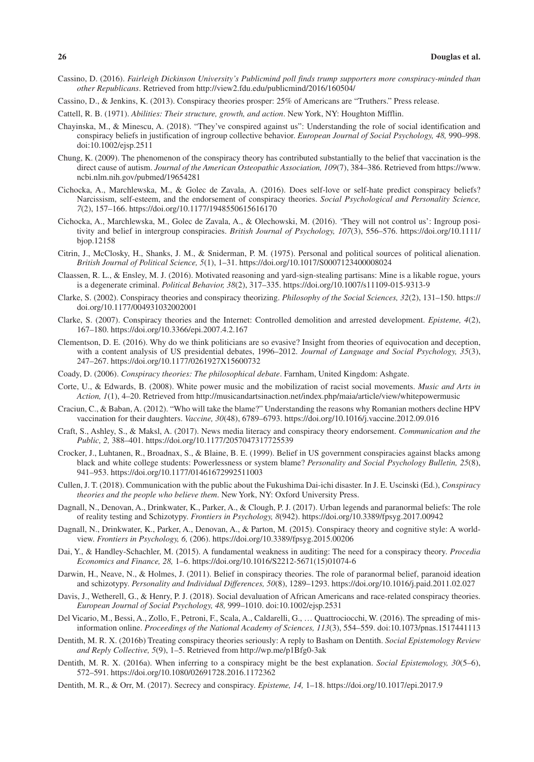- Cassino, D. (2016). *Fairleigh Dickinson University's Publicmind poll finds trump supporters more conspiracy-minded than other Republicans*. Retrieved from<http://view2.fdu.edu/publicmind/2016/160504/>
- Cassino, D., & Jenkins, K. (2013). Conspiracy theories prosper: 25% of Americans are "Truthers." Press release.
- Cattell, R. B. (1971). *Abilities: Their structure, growth, and action*. New York, NY: Houghton Mifflin.
- Chayinska, M., & Minescu, A. (2018). "They've conspired against us": Understanding the role of social identification and conspiracy beliefs in justification of ingroup collective behavior. *European Journal of Social Psychology, 48,* 990–998. doi[:10.1002/ejsp.2511](https://doi.org/10.1002/ejsp.2511)
- Chung, K. (2009). The phenomenon of the conspiracy theory has contributed substantially to the belief that vaccination is the direct cause of autism. *Journal of the American Osteopathic Association, 109*(7), 384–386. Retrieved from [https://www.](https://www.ncbi.nlm.nih.gov/pubmed/19654281) [ncbi.nlm.nih.gov/pubmed/19654281](https://www.ncbi.nlm.nih.gov/pubmed/19654281)
- Cichocka, A., Marchlewska, M., & Golec de Zavala, A. (2016). Does self-love or self-hate predict conspiracy beliefs? Narcissism, self-esteem, and the endorsement of conspiracy theories. *Social Psychological and Personality Science, 7*(2), 157–166. <https://doi.org/10.1177/1948550615616170>
- Cichocka, A., Marchlewska, M., Golec de Zavala, A., & Olechowski, M. (2016). 'They will not control us': Ingroup positivity and belief in intergroup conspiracies. *British Journal of Psychology, 107*(3), 556–576. [https://doi.org/10.1111/](https://doi.org/10.1111/bjop.12158) [bjop.12158](https://doi.org/10.1111/bjop.12158)
- Citrin, J., McClosky, H., Shanks, J. M., & Sniderman, P. M. (1975). Personal and political sources of political alienation. *British Journal of Political Science, 5*(1), 1–31. <https://doi.org/10.1017/S0007123400008024>
- Claassen, R. L., & Ensley, M. J. (2016). Motivated reasoning and yard-sign-stealing partisans: Mine is a likable rogue, yours is a degenerate criminal. *Political Behavior, 38*(2), 317–335.<https://doi.org/10.1007/s11109-015-9313-9>
- Clarke, S. (2002). Conspiracy theories and conspiracy theorizing. *Philosophy of the Social Sciences, 32*(2), 131–150. [https://](https://doi.org/10.1177/004931032002001) [doi.org/10.1177/004931032002001](https://doi.org/10.1177/004931032002001)
- Clarke, S. (2007). Conspiracy theories and the Internet: Controlled demolition and arrested development. *Episteme, 4*(2), 167–180. <https://doi.org/10.3366/epi.2007.4.2.167>
- Clementson, D. E. (2016). Why do we think politicians are so evasive? Insight from theories of equivocation and deception, with a content analysis of US presidential debates, 1996–2012. *Journal of Language and Social Psychology, 35*(3), 247–267. <https://doi.org/10.1177/0261927X15600732>
- Coady, D. (2006). *Conspiracy theories: The philosophical debate*. Farnham, United Kingdom: Ashgate.
- Corte, U., & Edwards, B. (2008). White power music and the mobilization of racist social movements. *Music and Arts in Action, 1*(1), 4–20. Retrieved from<http://musicandartsinaction.net/index.php/maia/article/view/whitepowermusic>
- Craciun, C., & Baban, A. (2012). "Who will take the blame?" Understanding the reasons why Romanian mothers decline HPV vaccination for their daughters. *Vaccine, 30*(48), 6789–6793. <https://doi.org/10.1016/j.vaccine.2012.09.016>
- Craft, S., Ashley, S., & Maksl, A. (2017). News media literacy and conspiracy theory endorsement. *Communication and the Public, 2,* 388–401. <https://doi.org/10.1177/2057047317725539>
- Crocker, J., Luhtanen, R., Broadnax, S., & Blaine, B. E. (1999). Belief in US government conspiracies against blacks among black and white college students: Powerlessness or system blame? *Personality and Social Psychology Bulletin, 25*(8), 941–953. <https://doi.org/10.1177/01461672992511003>
- Cullen, J. T. (2018). Communication with the public about the Fukushima Dai-ichi disaster. In J. E. Uscinski (Ed.), *Conspiracy theories and the people who believe them*. New York, NY: Oxford University Press.
- Dagnall, N., Denovan, A., Drinkwater, K., Parker, A., & Clough, P. J. (2017). Urban legends and paranormal beliefs: The role of reality testing and Schizotypy. *Frontiers in Psychology, 8*(942).<https://doi.org/10.3389/fpsyg.2017.00942>
- Dagnall, N., Drinkwater, K., Parker, A., Denovan, A., & Parton, M. (2015). Conspiracy theory and cognitive style: A worldview. *Frontiers in Psychology, 6,* (206). <https://doi.org/10.3389/fpsyg.2015.00206>
- Dai, Y., & Handley-Schachler, M. (2015). A fundamental weakness in auditing: The need for a conspiracy theory. *Procedia Economics and Finance, 28,* 1–6. [https://doi.org/10.1016/S2212-5671\(15\)01074-6](https://doi.org/10.1016/S2212-5671(15)01074-6)
- Darwin, H., Neave, N., & Holmes, J. (2011). Belief in conspiracy theories. The role of paranormal belief, paranoid ideation and schizotypy. *Personality and Individual Differences, 50*(8), 1289–1293.<https://doi.org/10.1016/j.paid.2011.02.027>
- Davis, J., Wetherell, G., & Henry, P. J. (2018). Social devaluation of African Americans and race-related conspiracy theories. *European Journal of Social Psychology, 48,* 999–1010. doi[:10.1002/ejsp.2531](https://doi.org/10.1002/ejsp.2531)
- Del Vicario, M., Bessi, A., Zollo, F., Petroni, F., Scala, A., Caldarelli, G., … Quattrociocchi, W. (2016). The spreading of misinformation online. *Proceedings of the National Academy of Sciences, 113*(3), 554–559. doi:[10.1073/pnas.1517441113](https://doi.org/10.1073/pnas.1517441113)
- Dentith, M. R. X. (2016b) Treating conspiracy theories seriously: A reply to Basham on Dentith. *Social Epistemology Review and Reply Collective, 5*(9), 1–5. Retrieved from <http://wp.me/p1Bfg0-3ak>
- Dentith, M. R. X. (2016a). When inferring to a conspiracy might be the best explanation. *Social Epistemology, 30*(5–6), 572–591. <https://doi.org/10.1080/02691728.2016.1172362>
- Dentith, M. R., & Orr, M. (2017). Secrecy and conspiracy. *Episteme, 14,* 1–18. <https://doi.org/10.1017/epi.2017.9>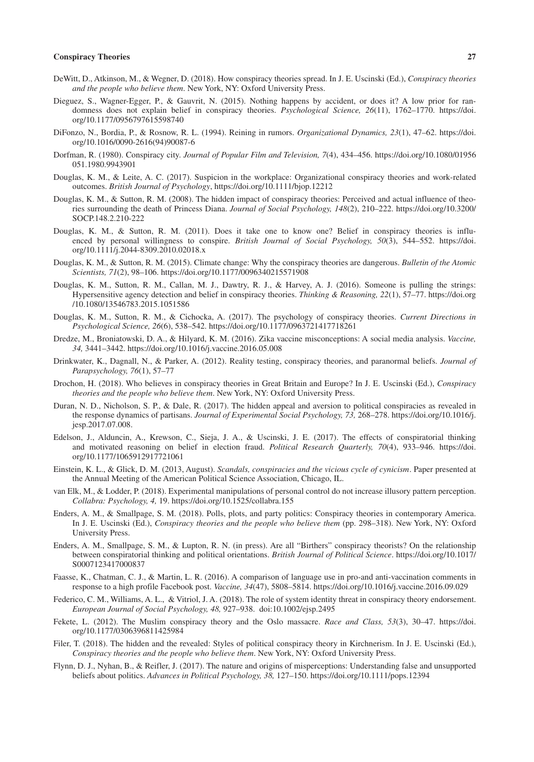- DeWitt, D., Atkinson, M., & Wegner, D. (2018). How conspiracy theories spread. In J. E. Uscinski (Ed.), *Conspiracy theories and the people who believe them*. New York, NY: Oxford University Press.
- Dieguez, S., Wagner-Egger, P., & Gauvrit, N. (2015). Nothing happens by accident, or does it? A low prior for randomness does not explain belief in conspiracy theories. *Psychological Science, 26*(11), 1762–1770. [https://doi.](https://doi.org/10.1177/0956797615598740) [org/10.1177/0956797615598740](https://doi.org/10.1177/0956797615598740)
- DiFonzo, N., Bordia, P., & Rosnow, R. L. (1994). Reining in rumors. *Organizational Dynamics, 23*(1), 47–62. [https://doi.](https://doi.org/10.1016/0090-2616(94)90087-6) [org/10.1016/0090-2616\(94\)90087-6](https://doi.org/10.1016/0090-2616(94)90087-6)
- Dorfman, R. (1980). Conspiracy city. *Journal of Popular Film and Television, 7*(4), 434–456. [https://doi.org/10.1080/01956](https://doi.org/10.1080/01956051.1980.9943901) [051.1980.9943901](https://doi.org/10.1080/01956051.1980.9943901)
- Douglas, K. M., & Leite, A. C. (2017). Suspicion in the workplace: Organizational conspiracy theories and work-related outcomes. *British Journal of Psychology*,<https://doi.org/10.1111/bjop.12212>
- Douglas, K. M., & Sutton, R. M. (2008). The hidden impact of conspiracy theories: Perceived and actual influence of theories surrounding the death of Princess Diana. *Journal of Social Psychology, 148*(2), 210–222. [https://doi.org/10.3200/](https://doi.org/10.3200/SOCP.148.2.210-222) [SOCP.148.2.210-222](https://doi.org/10.3200/SOCP.148.2.210-222)
- Douglas, K. M., & Sutton, R. M. (2011). Does it take one to know one? Belief in conspiracy theories is influenced by personal willingness to conspire. *British Journal of Social Psychology, 50*(3), 544–552. [https://doi.](https://doi.org/10.1111/j.2044-8309.2010.02018.x) [org/10.1111/j.2044-8309.2010.02018.x](https://doi.org/10.1111/j.2044-8309.2010.02018.x)
- Douglas, K. M., & Sutton, R. M. (2015). Climate change: Why the conspiracy theories are dangerous. *Bulletin of the Atomic Scientists, 71*(2), 98–106. <https://doi.org/10.1177/0096340215571908>
- Douglas, K. M., Sutton, R. M., Callan, M. J., Dawtry, R. J., & Harvey, A. J. (2016). Someone is pulling the strings: Hypersensitive agency detection and belief in conspiracy theories. *Thinking & Reasoning, 22*(1), 57–77. [https://doi.org](https://doi.org/10.1080/13546783.2015.1051586) [/10.1080/13546783.2015.1051586](https://doi.org/10.1080/13546783.2015.1051586)
- Douglas, K. M., Sutton, R. M., & Cichocka, A. (2017). The psychology of conspiracy theories. *Current Directions in Psychological Science, 26*(6), 538–542.<https://doi.org/10.1177/0963721417718261>
- Dredze, M., Broniatowski, D. A., & Hilyard, K. M. (2016). Zika vaccine misconceptions: A social media analysis. *Vaccine, 34,* 3441–3442.<https://doi.org/10.1016/j.vaccine.2016.05.008>
- Drinkwater, K., Dagnall, N., & Parker, A. (2012). Reality testing, conspiracy theories, and paranormal beliefs. *Journal of Parapsychology, 76*(1), 57–77
- Drochon, H. (2018). Who believes in conspiracy theories in Great Britain and Europe? In J. E. Uscinski (Ed.), *Conspiracy theories and the people who believe them*. New York, NY: Oxford University Press.
- Duran, N. D., Nicholson, S. P., & Dale, R. (2017). The hidden appeal and aversion to political conspiracies as revealed in the response dynamics of partisans. *Journal of Experimental Social Psychology, 73,* 268–278. [https://doi.org/10.1016/j.](https://doi.org/10.1016/j.jesp.2017.07.008) [jesp.2017.07.008](https://doi.org/10.1016/j.jesp.2017.07.008).
- Edelson, J., Alduncin, A., Krewson, C., Sieja, J. A., & Uscinski, J. E. (2017). The effects of conspiratorial thinking and motivated reasoning on belief in election fraud. *Political Research Quarterly, 70*(4), 933–946. [https://doi.](https://doi.org/10.1177/1065912917721061) [org/10.1177/1065912917721061](https://doi.org/10.1177/1065912917721061)
- Einstein, K. L., & Glick, D. M. (2013, August). *Scandals, conspiracies and the vicious cycle of cynicism* . Paper presented at the Annual Meeting of the American Political Science Association, Chicago, IL.
- van Elk, M., & Lodder, P. (2018). Experimental manipulations of personal control do not increase illusory pattern perception. *Collabra: Psychology, 4,* 19.<https://doi.org/10.1525/collabra.155>
- Enders, A. M., & Smallpage, S. M. (2018). Polls, plots, and party politics: Conspiracy theories in contemporary America. In J. E. Uscinski (Ed.), *Conspiracy theories and the people who believe them* (pp. 298–318). New York, NY: Oxford University Press.
- Enders, A. M., Smallpage, S. M., & Lupton, R. N. (in press). Are all "Birthers" conspiracy theorists? On the relationship between conspiratorial thinking and political orientations. *British Journal of Political Science*. [https://doi.org/10.1017/](https://doi.org/10.1017/S0007123417000837) [S0007123417000837](https://doi.org/10.1017/S0007123417000837)
- Faasse, K., Chatman, C. J., & Martin, L. R. (2016). A comparison of language use in pro-and anti-vaccination comments in response to a high profile Facebook post. *Vaccine, 34*(47), 5808–5814. <https://doi.org/10.1016/j.vaccine.2016.09.029>
- Federico, C. M., Williams, A. L., & Vitriol, J. A. (2018). The role of system identity threat in conspiracy theory endorsement. *European Journal of Social Psychology, 48,* 927–938. doi[:10.1002/ejsp.2495](https://doi.org/10.1002/ejsp.2495)
- Fekete, L. (2012). The Muslim conspiracy theory and the Oslo massacre. *Race and Class, 53*(3), 30–47. [https://doi.](https://doi.org/10.1177/0306396811425984) [org/10.1177/0306396811425984](https://doi.org/10.1177/0306396811425984)
- Filer, T. (2018). The hidden and the revealed: Styles of political conspiracy theory in Kirchnerism. In J. E. Uscinski (Ed.), *Conspiracy theories and the people who believe them*. New York, NY: Oxford University Press.
- Flynn, D. J., Nyhan, B., & Reifler, J. (2017). The nature and origins of misperceptions: Understanding false and unsupported beliefs about politics. *Advances in Political Psychology, 38,* 127–150.<https://doi.org/10.1111/pops.12394>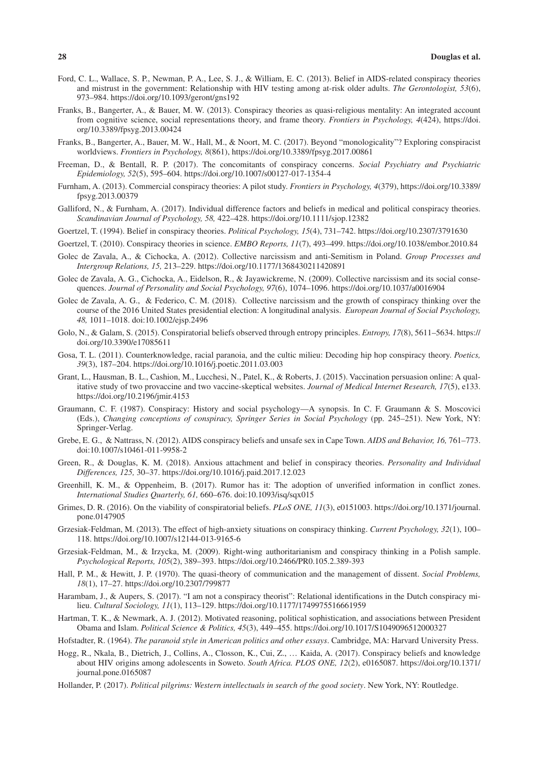- Ford, C. L., Wallace, S. P., Newman, P. A., Lee, S. J., & William, E. C. (2013). Belief in AIDS-related conspiracy theories and mistrust in the government: Relationship with HIV testing among at-risk older adults. *The Gerontologist, 53*(6), 973–984. <https://doi.org/10.1093/geront/gns192>
- Franks, B., Bangerter, A., & Bauer, M. W. (2013). Conspiracy theories as quasi-religious mentality: An integrated account from cognitive science, social representations theory, and frame theory. *Frontiers in Psychology, 4*(424), [https://doi.](https://doi.org/10.3389/fpsyg.2013.00424) [org/10.3389/fpsyg.2013.00424](https://doi.org/10.3389/fpsyg.2013.00424)
- Franks, B., Bangerter, A., Bauer, M. W., Hall, M., & Noort, M. C. (2017). Beyond "monologicality"? Exploring conspiracist worldviews. *Frontiers in Psychology, 8*(861), <https://doi.org/10.3389/fpsyg.2017.00861>
- Freeman, D., & Bentall, R. P. (2017). The concomitants of conspiracy concerns. *Social Psychiatry and Psychiatric Epidemiology, 52*(5), 595–604. <https://doi.org/10.1007/s00127-017-1354-4>
- Furnham, A. (2013). Commercial conspiracy theories: A pilot study. *Frontiers in Psychology, 4*(379), [https://doi.org/10.3389/](https://doi.org/10.3389/fpsyg.2013.00379) [fpsyg.2013.00379](https://doi.org/10.3389/fpsyg.2013.00379)
- Galliford, N., & Furnham, A. (2017). Individual difference factors and beliefs in medical and political conspiracy theories. *Scandinavian Journal of Psychology, 58,* 422–428.<https://doi.org/10.1111/sjop.12382>
- Goertzel, T. (1994). Belief in conspiracy theories. *Political Psychology, 15*(4), 731–742. <https://doi.org/10.2307/3791630>
- Goertzel, T. (2010). Conspiracy theories in science. *EMBO Reports, 11*(7), 493–499. <https://doi.org/10.1038/embor.2010.84>
- Golec de Zavala, A., & Cichocka, A. (2012). Collective narcissism and anti-Semitism in Poland. *Group Processes and Intergroup Relations, 15,* 213–229. <https://doi.org/10.1177/1368430211420891>
- Golec de Zavala, A. G., Cichocka, A., Eidelson, R., & Jayawickreme, N. (2009). Collective narcissism and its social consequences. *Journal of Personality and Social Psychology, 97*(6), 1074–1096.<https://doi.org/10.1037/a0016904>
- Golec de Zavala, A. G., & Federico, C. M. (2018). Collective narcissism and the growth of conspiracy thinking over the course of the 2016 United States presidential election: A longitudinal analysis. *European Journal of Social Psychology, 48,* 1011–1018. doi[:10.1002/ejsp.2496](https://doi.org/10.1002/ejsp.2496)
- Golo, N., & Galam, S. (2015). Conspiratorial beliefs observed through entropy principles. *Entropy, 17*(8), 5611–5634. [https://](https://doi.org/10.3390/e17085611) [doi.org/10.3390/e17085611](https://doi.org/10.3390/e17085611)
- Gosa, T. L. (2011). Counterknowledge, racial paranoia, and the cultic milieu: Decoding hip hop conspiracy theory. *Poetics, 39*(3), 187–204. <https://doi.org/10.1016/j.poetic.2011.03.003>
- Grant, L., Hausman, B. L., Cashion, M., Lucchesi, N., Patel, K., & Roberts, J. (2015). Vaccination persuasion online: A qualitative study of two provaccine and two vaccine-skeptical websites. *Journal of Medical Internet Research, 17*(5), e133. <https://doi.org/10.2196/jmir.4153>
- Graumann, C. F. (1987). Conspiracy: History and social psychology—A synopsis. In C. F. Graumann & S. Moscovici (Eds.), *Changing conceptions of conspiracy, Springer Series in Social Psychology* (pp. 245–251). New York, NY: Springer-Verlag.
- Grebe, E. G., & Nattrass, N. (2012). AIDS conspiracy beliefs and unsafe sex in Cape Town. *AIDS and Behavior, 16,* 761–773. doi[:10.1007/s10461-011-9958-2](https://doi.org/10.1007/s10461-011-9958-2)
- Green, R., & Douglas, K. M. (2018). Anxious attachment and belief in conspiracy theories. *Personality and Individual Differences, 125,* 30–37.<https://doi.org/10.1016/j.paid.2017.12.023>
- Greenhill, K. M., & Oppenheim, B. (2017). Rumor has it: The adoption of unverified information in conflict zones. *International Studies Quarterly, 61,* 660–676. doi:[10.1093/isq/sqx015](https://doi.org/10.1093/isq/sqx015)
- Grimes, D. R. (2016). On the viability of conspiratorial beliefs. *PLoS ONE, 11*(3), e0151003. [https://doi.org/10.1371/journal.](https://doi.org/10.1371/journal.pone.0147905) [pone.0147905](https://doi.org/10.1371/journal.pone.0147905)
- Grzesiak-Feldman, M. (2013). The effect of high-anxiety situations on conspiracy thinking. *Current Psychology, 32*(1), 100– 118. <https://doi.org/10.1007/s12144-013-9165-6>
- Grzesiak-Feldman, M., & Irzycka, M. (2009). Right-wing authoritarianism and conspiracy thinking in a Polish sample. *Psychological Reports, 105*(2), 389–393. <https://doi.org/10.2466/PR0.105.2.389-393>
- Hall, P. M., & Hewitt, J. P. (1970). The quasi-theory of communication and the management of dissent. *Social Problems, 18*(1), 17–27. <https://doi.org/10.2307/799877>
- Harambam, J., & Aupers, S. (2017). "I am not a conspiracy theorist": Relational identifications in the Dutch conspiracy milieu. *Cultural Sociology, 11*(1), 113–129. <https://doi.org/10.1177/1749975516661959>
- Hartman, T. K., & Newmark, A. J. (2012). Motivated reasoning, political sophistication, and associations between President Obama and Islam. *Political Science & Politics, 45*(3), 449–455. <https://doi.org/10.1017/S1049096512000327>
- Hofstadter, R. (1964). *The paranoid style in American politics and other essays*. Cambridge, MA: Harvard University Press.
- Hogg, R., Nkala, B., Dietrich, J., Collins, A., Closson, K., Cui, Z., … Kaida, A. (2017). Conspiracy beliefs and knowledge about HIV origins among adolescents in Soweto. *South Africa. PLOS ONE, 12*(2), e0165087. [https://doi.org/10.1371/](https://doi.org/10.1371/journal.pone.0165087) [journal.pone.0165087](https://doi.org/10.1371/journal.pone.0165087)
- Hollander, P. (2017). *Political pilgrims: Western intellectuals in search of the good society*. New York, NY: Routledge.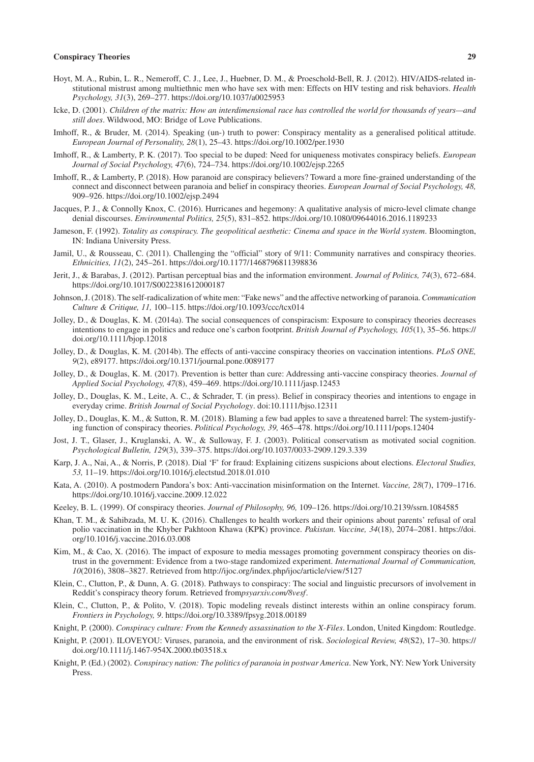- Hoyt, M. A., Rubin, L. R., Nemeroff, C. J., Lee, J., Huebner, D. M., & Proeschold-Bell, R. J. (2012). HIV/AIDS-related institutional mistrust among multiethnic men who have sex with men: Effects on HIV testing and risk behaviors. *Health Psychology, 31*(3), 269–277. <https://doi.org/10.1037/a0025953>
- Icke, D. (2001). *Children of the matrix: How an interdimensional race has controlled the world for thousands of years—and still does*. Wildwood, MO: Bridge of Love Publications.
- Imhoff, R., & Bruder, M. (2014). Speaking (un-) truth to power: Conspiracy mentality as a generalised political attitude. *European Journal of Personality, 28*(1), 25–43. <https://doi.org/10.1002/per.1930>
- Imhoff, R., & Lamberty, P. K. (2017). Too special to be duped: Need for uniqueness motivates conspiracy beliefs. *European Journal of Social Psychology, 47*(6), 724–734. <https://doi.org/10.1002/ejsp.2265>
- Imhoff, R., & Lamberty, P. (2018). How paranoid are conspiracy believers? Toward a more fine-grained understanding of the connect and disconnect between paranoia and belief in conspiracy theories. *European Journal of Social Psychology, 48,* 909–926.<https://doi.org/10.1002/ejsp.2494>
- Jacques, P. J., & Connolly Knox, C. (2016). Hurricanes and hegemony: A qualitative analysis of micro-level climate change denial discourses. *Environmental Politics, 25*(5), 831–852.<https://doi.org/10.1080/09644016.2016.1189233>
- Jameson, F. (1992). *Totality as conspiracy. The geopolitical aesthetic: Cinema and space in the World system*. Bloomington, IN: Indiana University Press.
- Jamil, U., & Rousseau, C. (2011). Challenging the "official" story of 9/11: Community narratives and conspiracy theories. *Ethnicities, 11*(2), 245–261. <https://doi.org/10.1177/1468796811398836>
- Jerit, J., & Barabas, J. (2012). Partisan perceptual bias and the information environment. *Journal of Politics, 74*(3), 672–684. <https://doi.org/10.1017/S0022381612000187>
- Johnson, J. (2018). The self-radicalization of white men: "Fake news" and the affective networking of paranoia. *Communication Culture & Critique, 11,* 100–115.<https://doi.org/10.1093/ccc/tcx014>
- Jolley, D., & Douglas, K. M. (2014a). The social consequences of conspiracism: Exposure to conspiracy theories decreases intentions to engage in politics and reduce one's carbon footprint. *British Journal of Psychology, 105*(1), 35–56. [https://](https://doi.org/10.1111/bjop.12018) [doi.org/10.1111/bjop.12018](https://doi.org/10.1111/bjop.12018)
- Jolley, D., & Douglas, K. M. (2014b). The effects of anti-vaccine conspiracy theories on vaccination intentions. *PLoS ONE, 9*(2), e89177.<https://doi.org/10.1371/journal.pone.0089177>
- Jolley, D., & Douglas, K. M. (2017). Prevention is better than cure: Addressing anti-vaccine conspiracy theories. *Journal of Applied Social Psychology, 47*(8), 459–469. <https://doi.org/10.1111/jasp.12453>
- Jolley, D., Douglas, K. M., Leite, A. C., & Schrader, T. (in press). Belief in conspiracy theories and intentions to engage in everyday crime. *British Journal of Social Psychology*. doi[:10.1111/bjso.12311](https://doi.org/10.1111/bjso.12311)
- Jolley, D., Douglas, K. M., & Sutton, R. M. (2018). Blaming a few bad apples to save a threatened barrel: The system-justifying function of conspiracy theories. *Political Psychology, 39,* 465–478. <https://doi.org/10.1111/pops.12404>
- Jost, J. T., Glaser, J., Kruglanski, A. W., & Sulloway, F. J. (2003). Political conservatism as motivated social cognition. *Psychological Bulletin, 129*(3), 339–375.<https://doi.org/10.1037/0033-2909.129.3.339>
- Karp, J. A., Nai, A., & Norris, P. (2018). Dial 'F' for fraud: Explaining citizens suspicions about elections. *Electoral Studies, 53,* 11–19.<https://doi.org/10.1016/j.electstud.2018.01.010>
- Kata, A. (2010). A postmodern Pandora's box: Anti-vaccination misinformation on the Internet. *Vaccine, 28*(7), 1709–1716. <https://doi.org/10.1016/j.vaccine.2009.12.022>
- Keeley, B. L. (1999). Of conspiracy theories. *Journal of Philosophy, 96,* 109–126. <https://doi.org/10.2139/ssrn.1084585>
- Khan, T. M., & Sahibzada, M. U. K. (2016). Challenges to health workers and their opinions about parents' refusal of oral polio vaccination in the Khyber Pakhtoon Khawa (KPK) province. *Pakistan. Vaccine, 34*(18), 2074–2081. [https://doi.](https://doi.org/10.1016/j.vaccine.2016.03.008) [org/10.1016/j.vaccine.2016.03.008](https://doi.org/10.1016/j.vaccine.2016.03.008)
- Kim, M., & Cao, X. (2016). The impact of exposure to media messages promoting government conspiracy theories on distrust in the government: Evidence from a two-stage randomized experiment. *International Journal of Communication, 10*(2016), 3808–3827. Retrieved from<http://ijoc.org/index.php/ijoc/article/view/5127>
- Klein, C., Clutton, P., & Dunn, A. G. (2018). Pathways to conspiracy: The social and linguistic precursors of involvement in Reddit's conspiracy theory forum. Retrieved from*psyarxiv.com/8vesf* .
- Klein, C., Clutton, P., & Polito, V. (2018). Topic modeling reveals distinct interests within an online conspiracy forum. *Frontiers in Psychology, 9*.<https://doi.org/10.3389/fpsyg.2018.00189>
- Knight, P. (2000). *Conspiracy culture: From the Kennedy assassination to the X-Files*. London, United Kingdom: Routledge.
- Knight, P. (2001). ILOVEYOU: Viruses, paranoia, and the environment of risk. *Sociological Review, 48*(S2), 17–30. [https://](https://doi.org/10.1111/j.1467-954X.2000.tb03518.x) [doi.org/10.1111/j.1467-954X.2000.tb03518.x](https://doi.org/10.1111/j.1467-954X.2000.tb03518.x)
- Knight, P. (Ed.) (2002). *Conspiracy nation: The politics of paranoia in postwar America*. New York, NY: New York University Press.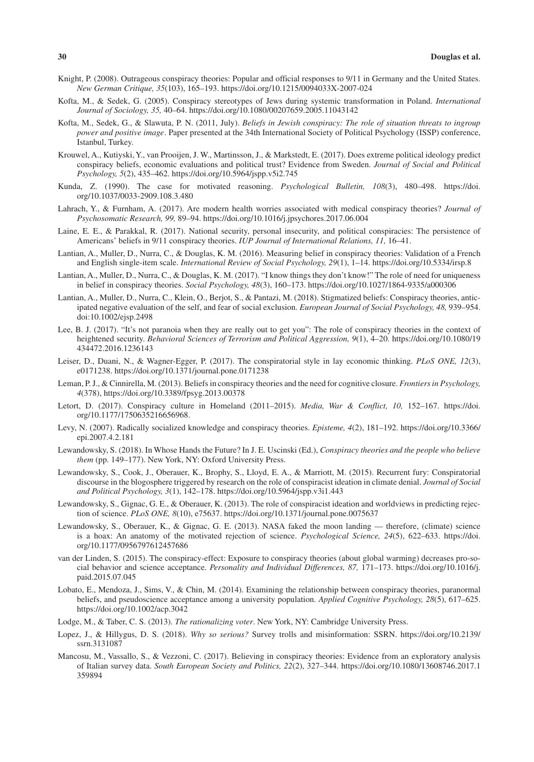- Knight, P. (2008). Outrageous conspiracy theories: Popular and official responses to 9/11 in Germany and the United States. *New German Critique, 35*(103), 165–193. <https://doi.org/10.1215/0094033X-2007-024>
- Kofta, M., & Sedek, G. (2005). Conspiracy stereotypes of Jews during systemic transformation in Poland. *International Journal of Sociology, 35,* 40–64. <https://doi.org/10.1080/00207659.2005.11043142>
- Kofta, M., Sedek, G., & Slawuta, P. N. (2011, July). *Beliefs in Jewish conspiracy: The role of situation threats to ingroup power and positive image* . Paper presented at the 34th International Society of Political Psychology (ISSP) conference, Istanbul, Turkey.
- Krouwel, A., Kutiyski, Y., van Prooijen, J. W., Martinsson, J., & Markstedt, E. (2017). Does extreme political ideology predict conspiracy beliefs, economic evaluations and political trust? Evidence from Sweden. *Journal of Social and Political Psychology, 5*(2), 435–462.<https://doi.org/10.5964/jspp.v5i2.745>
- Kunda, Z. (1990). The case for motivated reasoning. *Psychological Bulletin, 108*(3), 480–498. [https://doi.](https://doi.org/10.1037/0033-2909.108.3.480) [org/10.1037/0033-2909.108.3.480](https://doi.org/10.1037/0033-2909.108.3.480)
- Lahrach, Y., & Furnham, A. (2017). Are modern health worries associated with medical conspiracy theories? *Journal of Psychosomatic Research, 99,* 89–94. <https://doi.org/10.1016/j.jpsychores.2017.06.004>
- Laine, E. E., & Parakkal, R. (2017). National security, personal insecurity, and political conspiracies: The persistence of Americans' beliefs in 9/11 conspiracy theories. *IUP Journal of International Relations, 11,* 16–41.
- Lantian, A., Muller, D., Nurra, C., & Douglas, K. M. (2016). Measuring belief in conspiracy theories: Validation of a French and English single-item scale. *International Review of Social Psychology, 29*(1), 1–14. <https://doi.org/10.5334/irsp.8>
- Lantian, A., Muller, D., Nurra, C., & Douglas, K. M. (2017). "I know things they don't know!" The role of need for uniqueness in belief in conspiracy theories. *Social Psychology, 48*(3), 160–173. <https://doi.org/10.1027/1864-9335/a000306>
- Lantian, A., Muller, D., Nurra, C., Klein, O., Berjot, S., & Pantazi, M. (2018). Stigmatized beliefs: Conspiracy theories, anticipated negative evaluation of the self, and fear of social exclusion. *European Journal of Social Psychology, 48,* 939–954. doi[:10.1002/ejsp.2498](https://doi.org/10.1002/ejsp.2498)
- Lee, B. J. (2017). "It's not paranoia when they are really out to get you": The role of conspiracy theories in the context of heightened security. *Behavioral Sciences of Terrorism and Political Aggression, 9*(1), 4–20. [https://doi.org/10.1080/19](https://doi.org/10.1080/19434472.2016.1236143) [434472.2016.1236143](https://doi.org/10.1080/19434472.2016.1236143)
- Leiser, D., Duani, N., & Wagner-Egger, P. (2017). The conspiratorial style in lay economic thinking. *PLoS ONE, 12*(3), e0171238.<https://doi.org/10.1371/journal.pone.0171238>
- Leman, P. J., & Cinnirella, M. (2013). Beliefs in conspiracy theories and the need for cognitive closure. *Frontiers in Psychology, 4*(378), <https://doi.org/10.3389/fpsyg.2013.00378>
- Letort, D. (2017). Conspiracy culture in Homeland (2011–2015). *Media, War & Conflict, 10,* 152–167. [https://doi.](https://doi.org/10.1177/1750635216656968) [org/10.1177/1750635216656968.](https://doi.org/10.1177/1750635216656968)
- Levy, N. (2007). Radically socialized knowledge and conspiracy theories. *Episteme, 4*(2), 181–192. [https://doi.org/10.3366/](https://doi.org/10.3366/epi.2007.4.2.181) [epi.2007.4.2.181](https://doi.org/10.3366/epi.2007.4.2.181)
- Lewandowsky, S. (2018). In Whose Hands the Future? In J. E. Uscinski (Ed.), *Conspiracy theories and the people who believe them* (pp. 149–177). New York, NY: Oxford University Press.
- Lewandowsky, S., Cook, J., Oberauer, K., Brophy, S., Lloyd, E. A., & Marriott, M. (2015). Recurrent fury: Conspiratorial discourse in the blogosphere triggered by research on the role of conspiracist ideation in climate denial. *Journal of Social and Political Psychology, 3*(1), 142–178.<https://doi.org/10.5964/jspp.v3i1.443>
- Lewandowsky, S., Gignac, G. E., & Oberauer, K. (2013). The role of conspiracist ideation and worldviews in predicting rejection of science. *PLoS ONE, 8*(10), e75637. <https://doi.org/10.1371/journal.pone.0075637>
- Lewandowsky, S., Oberauer, K., & Gignac, G. E. (2013). NASA faked the moon landing therefore, (climate) science is a hoax: An anatomy of the motivated rejection of science. *Psychological Science, 24*(5), 622–633. [https://doi.](https://doi.org/10.1177/0956797612457686) [org/10.1177/0956797612457686](https://doi.org/10.1177/0956797612457686)
- van der Linden, S. (2015). The conspiracy-effect: Exposure to conspiracy theories (about global warming) decreases pro-social behavior and science acceptance. *Personality and Individual Differences, 87,* 171–173. [https://doi.org/10.1016/j.](https://doi.org/10.1016/j.paid.2015.07.045) [paid.2015.07.045](https://doi.org/10.1016/j.paid.2015.07.045)
- Lobato, E., Mendoza, J., Sims, V., & Chin, M. (2014). Examining the relationship between conspiracy theories, paranormal beliefs, and pseudoscience acceptance among a university population. *Applied Cognitive Psychology, 28*(5), 617–625. <https://doi.org/10.1002/acp.3042>
- Lodge, M., & Taber, C. S. (2013). *The rationalizing voter*. New York, NY: Cambridge University Press.
- Lopez, J., & Hillygus, D. S. (2018). *Why so serious?* Survey trolls and misinformation: SSRN. [https://doi.org/10.2139/](https://doi.org/10.2139/ssrn.3131087) [ssrn.3131087](https://doi.org/10.2139/ssrn.3131087)
- Mancosu, M., Vassallo, S., & Vezzoni, C. (2017). Believing in conspiracy theories: Evidence from an exploratory analysis of Italian survey data. *South European Society and Politics, 22*(2), 327–344. [https://doi.org/10.1080/13608746.2017.1](https://doi.org/10.1080/13608746.2017.1359894) [359894](https://doi.org/10.1080/13608746.2017.1359894)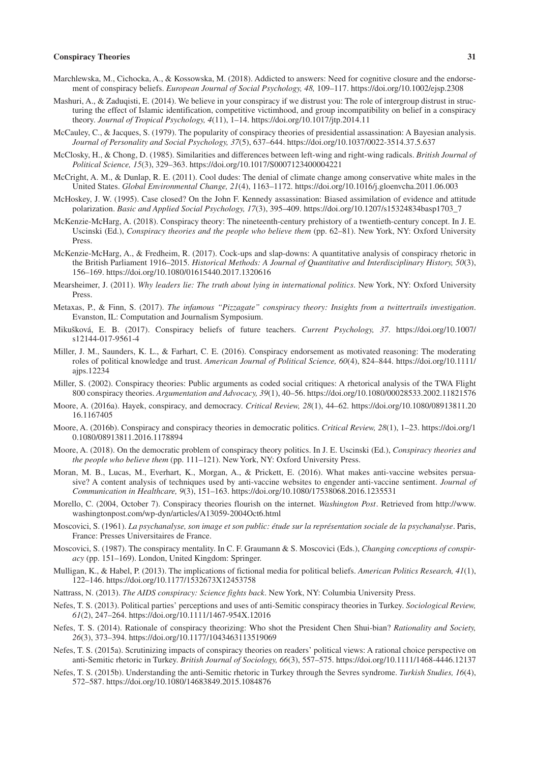- Marchlewska, M., Cichocka, A., & Kossowska, M. (2018). Addicted to answers: Need for cognitive closure and the endorsement of conspiracy beliefs. *European Journal of Social Psychology, 48,* 109–117.<https://doi.org/10.1002/ejsp.2308>
- Mashuri, A., & Zaduqisti, E. (2014). We believe in your conspiracy if we distrust you: The role of intergroup distrust in structuring the effect of Islamic identification, competitive victimhood, and group incompatibility on belief in a conspiracy theory. *Journal of Tropical Psychology, 4*(11), 1–14.<https://doi.org/10.1017/jtp.2014.11>
- McCauley, C., & Jacques, S. (1979). The popularity of conspiracy theories of presidential assassination: A Bayesian analysis. *Journal of Personality and Social Psychology, 37*(5), 637–644.<https://doi.org/10.1037/0022-3514.37.5.637>
- McClosky, H., & Chong, D. (1985). Similarities and differences between left-wing and right-wing radicals. *British Journal of Political Science, 15*(3), 329–363. <https://doi.org/10.1017/S0007123400004221>
- McCright, A. M., & Dunlap, R. E. (2011). Cool dudes: The denial of climate change among conservative white males in the United States. *Global Environmental Change, 21*(4), 1163–1172.<https://doi.org/10.1016/j.gloenvcha.2011.06.003>
- McHoskey, J. W. (1995). Case closed? On the John F. Kennedy assassination: Biased assimilation of evidence and attitude polarization. *Basic and Applied Social Psychology, 17*(3), 395–409. [https://doi.org/10.1207/s15324834basp1703\\_7](https://doi.org/10.1207/s15324834basp1703_7)
- McKenzie-McHarg, A. (2018). Conspiracy theory: The nineteenth-century prehistory of a twentieth-century concept. In J. E. Uscinski (Ed.), *Conspiracy theories and the people who believe them* (pp. 62–81). New York, NY: Oxford University Press.
- McKenzie-McHarg, A., & Fredheim, R. (2017). Cock-ups and slap-downs: A quantitative analysis of conspiracy rhetoric in the British Parliament 1916–2015. *Historical Methods: A Journal of Quantitative and Interdisciplinary History, 50*(3), 156–169.<https://doi.org/10.1080/01615440.2017.1320616>
- Mearsheimer, J. (2011). *Why leaders lie: The truth about lying in international politics*. New York, NY: Oxford University Press.
- Metaxas, P., & Finn, S. (2017). *The infamous "Pizzagate" conspiracy theory: Insights from a twittertrails investigation*. Evanston, IL: Computation and Journalism Symposium.
- Mikušková, E. B. (2017). Conspiracy beliefs of future teachers. *Current Psychology, 37*. [https://doi.org/10.1007/](https://doi.org/10.1007/s12144-017-9561-4) [s12144-017-9561-4](https://doi.org/10.1007/s12144-017-9561-4)
- Miller, J. M., Saunders, K. L., & Farhart, C. E. (2016). Conspiracy endorsement as motivated reasoning: The moderating roles of political knowledge and trust. *American Journal of Political Science, 60*(4), 824–844. [https://doi.org/10.1111/](https://doi.org/10.1111/ajps.12234) [ajps.12234](https://doi.org/10.1111/ajps.12234)
- Miller, S. (2002). Conspiracy theories: Public arguments as coded social critiques: A rhetorical analysis of the TWA Flight 800 conspiracy theories. *Argumentation and Advocacy, 39*(1), 40–56.<https://doi.org/10.1080/00028533.2002.11821576>
- Moore, A. (2016a). Hayek, conspiracy, and democracy. *Critical Review, 28*(1), 44–62. [https://doi.org/10.1080/08913811.20](https://doi.org/10.1080/08913811.2016.1167405) [16.1167405](https://doi.org/10.1080/08913811.2016.1167405)
- Moore, A. (2016b). Conspiracy and conspiracy theories in democratic politics. *Critical Review, 28*(1), 1–23. [https://doi.org/1](https://doi.org/10.1080/08913811.2016.1178894) [0.1080/08913811.2016.1178894](https://doi.org/10.1080/08913811.2016.1178894)
- Moore, A. (2018). On the democratic problem of conspiracy theory politics. In J. E. Uscinski (Ed.), *Conspiracy theories and the people who believe them* (pp. 111–121). New York, NY: Oxford University Press.
- Moran, M. B., Lucas, M., Everhart, K., Morgan, A., & Prickett, E. (2016). What makes anti-vaccine websites persuasive? A content analysis of techniques used by anti-vaccine websites to engender anti-vaccine sentiment. *Journal of Communication in Healthcare, 9*(3), 151–163. <https://doi.org/10.1080/17538068.2016.1235531>
- Morello, C. (2004, October 7). Conspiracy theories flourish on the internet. *Washington Post* . Retrieved from [http://www.](http://www.washingtonpost.com/wp-dyn/articles/A13059-2004Oct6.html) [washingtonpost.com/wp-dyn/articles/A13059-2004Oct6.html](http://www.washingtonpost.com/wp-dyn/articles/A13059-2004Oct6.html)
- Moscovici, S. (1961). *La psychanalyse, son image et son public: étude sur la représentation sociale de la psychanalyse*. Paris, France: Presses Universitaires de France.
- Moscovici, S. (1987). The conspiracy mentality. In C. F. Graumann & S. Moscovici (Eds.), *Changing conceptions of conspiracy* (pp. 151–169). London, United Kingdom: Springer.
- Mulligan, K., & Habel, P. (2013). The implications of fictional media for political beliefs. *American Politics Research, 41*(1), 122–146.<https://doi.org/10.1177/1532673X12453758>
- Nattrass, N. (2013). *The AIDS conspiracy: Science fights back*. New York, NY: Columbia University Press.
- Nefes, T. S. (2013). Political parties' perceptions and uses of anti-Semitic conspiracy theories in Turkey. *Sociological Review, 61*(2), 247–264. <https://doi.org/10.1111/1467-954X.12016>
- Nefes, T. S. (2014). Rationale of conspiracy theorizing: Who shot the President Chen Shui-bian? *Rationality and Society, 26*(3), 373–394. <https://doi.org/10.1177/1043463113519069>
- Nefes, T. S. (2015a). Scrutinizing impacts of conspiracy theories on readers' political views: A rational choice perspective on anti-Semitic rhetoric in Turkey. *British Journal of Sociology, 66*(3), 557–575.<https://doi.org/10.1111/1468-4446.12137>
- Nefes, T. S. (2015b). Understanding the anti-Semitic rhetoric in Turkey through the Sevres syndrome. *Turkish Studies, 16*(4), 572–587.<https://doi.org/10.1080/14683849.2015.1084876>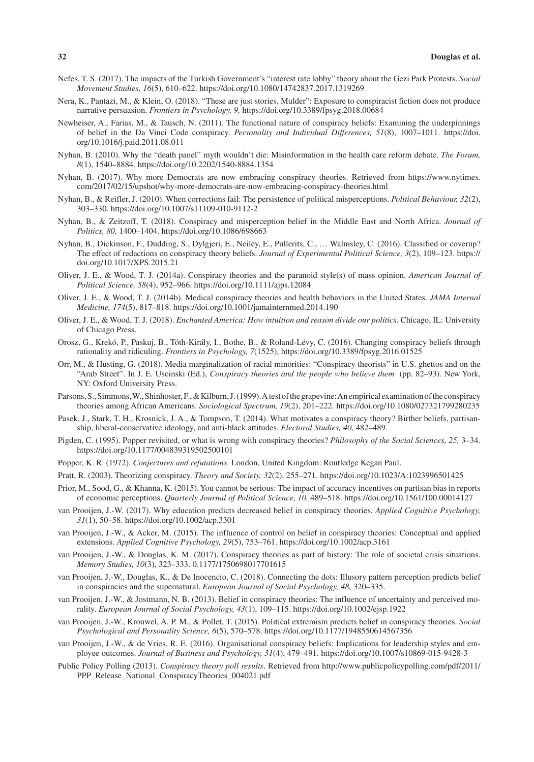- Nefes, T. S. (2017). The impacts of the Turkish Government's "interest rate lobby" theory about the Gezi Park Protests. *Social Movement Studies, 16*(5), 610–622.<https://doi.org/10.1080/14742837.2017.1319269>
- Nera, K., Pantazi, M., & Klein, O. (2018). "These are just stories, Mulder": Exposure to conspiracist fiction does not produce narrative persuasion. *Frontiers in Psychology, 9,* <https://doi.org/10.3389/fpsyg.2018.00684>
- Newheiser, A., Farias, M., & Tausch, N. (2011). The functional nature of conspiracy beliefs: Examining the underpinnings of belief in the Da Vinci Code conspiracy. *Personality and Individual Differences, 51*(8), 1007–1011. [https://doi.](https://doi.org/10.1016/j.paid.2011.08.011) [org/10.1016/j.paid.2011.08.011](https://doi.org/10.1016/j.paid.2011.08.011)
- Nyhan, B. (2010). Why the "death panel" myth wouldn't die: Misinformation in the health care reform debate. *The Forum, 8*(1), 1540–8884. <https://doi.org/10.2202/1540-8884.1354>
- Nyhan, B. (2017). Why more Democrats are now embracing conspiracy theories. Retrieved from [https://www.nytimes.](https://www.nytimes.com/2017/02/15/upshot/why-more-democrats-are-now-embracing-conspiracy-theories.html) [com/2017/02/15/upshot/why-more-democrats-are-now-embracing-conspiracy-theories.html](https://www.nytimes.com/2017/02/15/upshot/why-more-democrats-are-now-embracing-conspiracy-theories.html)
- Nyhan, B., & Reifler, J. (2010). When corrections fail: The persistence of political misperceptions. *Political Behaviour, 32*(2), 303–330. <https://doi.org/10.1007/s11109-010-9112-2>
- Nyhan, B., & Zeitzoff, T. (2018). Conspiracy and misperception belief in the Middle East and North Africa. *Journal of Politics, 80,* 1400–1404.<https://doi.org/10.1086/698663>
- Nyhan, B., Dickinson, F., Dudding, S., Dylgjeri, E., Neiley, E., Pullerits, C., … Walmsley, C. (2016). Classified or coverup? The effect of redactions on conspiracy theory beliefs. *Journal of Experimental Political Science, 3*(2), 109–123. [https://](https://doi.org/10.1017/XPS.2015.21) [doi.org/10.1017/XPS.2015.21](https://doi.org/10.1017/XPS.2015.21)
- Oliver, J. E., & Wood, T. J. (2014a). Conspiracy theories and the paranoid style(s) of mass opinion. *American Journal of Political Science, 58*(4), 952–966.<https://doi.org/10.1111/ajps.12084>
- Oliver, J. E., & Wood, T. J. (2014b). Medical conspiracy theories and health behaviors in the United States. *JAMA Internal Medicine, 174*(5), 817–818. <https://doi.org/10.1001/jamainternmed.2014.190>
- Oliver, J. E., & Wood, T. J. (2018). *Enchanted America: How intuition and reason divide our politics*. Chicago, IL: University of Chicago Press.
- Orosz, G., Krekó, P., Paskuj, B., Tóth-Király, I., Bothe, B., & Roland-Lévy, C. (2016). Changing conspiracy beliefs through rationality and ridiculing. *Frontiers in Psychology, 7*(1525),<https://doi.org/10.3389/fpsyg.2016.01525>
- Orr, M., & Husting, G. (2018). Media marginalization of racial minorities: "Conspiracy theorists" in U.S. ghettos and on the "Arab Street". In J. E. Uscinski (Ed.), *Conspiracy theories and the people who believe them* (pp. 82–93). New York, NY: Oxford University Press.
- Parsons, S., Simmons, W., Shinhoster, F., & Kilburn, J. (1999). A test of the grapevine: An empirical examination of the conspiracy theories among African Americans. *Sociological Spectrum, 19*(2), 201–222.<https://doi.org/10.1080/027321799280235>
- Pasek, J., Stark, T. H., Krosnick, J. A., & Tompson, T. (2014). What motivates a conspiracy theory? Birther beliefs, partisanship, liberal-conservative ideology, and anti-black attitudes. *Electoral Studies, 40,* 482–489.
- Pigden, C. (1995). Popper revisited, or what is wrong with conspiracy theories? *Philosophy of the Social Sciences, 25,* 3–34. <https://doi.org/10.1177/004839319502500101>
- Popper, K. R. (1972). *Conjectures and refutations*. London, United Kingdom: Routledge Kegan Paul.
- Pratt, R. (2003). Theorizing conspiracy. *Theory and Society, 32*(2), 255–271.<https://doi.org/10.1023/A:1023996501425>
- Prior, M., Sood, G., & Khanna, K. (2015). You cannot be serious: The impact of accuracy incentives on partisan bias in reports of economic perceptions. *Quarterly Journal of Political Science, 10,* 489–518.<https://doi.org/10.1561/100.00014127>
- van Prooijen, J.-W. (2017). Why education predicts decreased belief in conspiracy theories. *Applied Cognitive Psychology, 31*(1), 50–58. <https://doi.org/10.1002/acp.3301>
- van Prooijen, J.-W., & Acker, M. (2015). The influence of control on belief in conspiracy theories: Conceptual and applied extensions. *Applied Cognitive Psychology, 29*(5), 753–761. <https://doi.org/10.1002/acp.3161>
- van Prooijen, J.-W., & Douglas, K. M. (2017). Conspiracy theories as part of history: The role of societal crisis situations. *Memory Studies, 10*(3), 323–333. <0.1177/1750698017701615>
- van Prooijen, J.-W., Douglas, K., & De Inocencio, C. (2018). Connecting the dots: Illusory pattern perception predicts belief in conspiracies and the supernatural. *European Journal of Social Psychology, 48,* 320–335.
- van Prooijen, J.-W., & Jostmann, N. B. (2013). Belief in conspiracy theories: The influence of uncertainty and perceived morality. *European Journal of Social Psychology, 43*(1), 109–115. <https://doi.org/10.1002/ejsp.1922>
- van Prooijen, J.-W., Krouwel, A. P. M., & Pollet, T. (2015). Political extremism predicts belief in conspiracy theories. *Social Psychological and Personality Science, 6*(5), 570–578. <https://doi.org/10.1177/1948550614567356>
- van Prooijen, J.-W., & de Vries, R. E. (2016). Organisational conspiracy beliefs: Implications for leadership styles and employee outcomes. *Journal of Business and Psychology, 31*(4), 479–491.<https://doi.org/10.1007/s10869-015-9428-3>
- Public Policy Polling (2013). *Conspiracy theory poll results*. Retrieved from [http://www.publicpolicypolling.com/pdf/2011/](http://www.publicpolicypolling.com/pdf/2011/PPP_Release_National_ConspiracyTheories_004021.pdf) [PPP\\_Release\\_National\\_ConspiracyTheories\\_004021.pdf](http://www.publicpolicypolling.com/pdf/2011/PPP_Release_National_ConspiracyTheories_004021.pdf)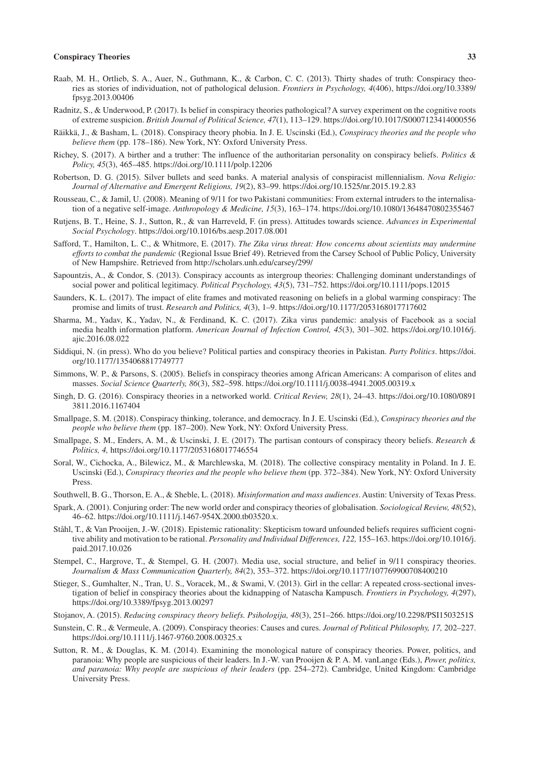- Raab, M. H., Ortlieb, S. A., Auer, N., Guthmann, K., & Carbon, C. C. (2013). Thirty shades of truth: Conspiracy theories as stories of individuation, not of pathological delusion. *Frontiers in Psychology, 4*(406), [https://doi.org/10.3389/](https://doi.org/10.3389/fpsyg.2013.00406) [fpsyg.2013.00406](https://doi.org/10.3389/fpsyg.2013.00406)
- Radnitz, S., & Underwood, P. (2017). Is belief in conspiracy theories pathological? A survey experiment on the cognitive roots of extreme suspicion. *British Journal of Political Science, 47*(1), 113–129.<https://doi.org/10.1017/S0007123414000556>
- Räikkä, J., & Basham, L. (2018). Conspiracy theory phobia. In J. E. Uscinski (Ed.), *Conspiracy theories and the people who believe them* (pp. 178–186). New York, NY: Oxford University Press.
- Richey, S. (2017). A birther and a truther: The influence of the authoritarian personality on conspiracy beliefs. *Politics & Policy, 45*(3), 465–485.<https://doi.org/10.1111/polp.12206>
- Robertson, D. G. (2015). Silver bullets and seed banks. A material analysis of conspiracist millennialism. *Nova Religio: Journal of Alternative and Emergent Religions, 19*(2), 83–99. <https://doi.org/10.1525/nr.2015.19.2.83>
- Rousseau, C., & Jamil, U. (2008). Meaning of 9/11 for two Pakistani communities: From external intruders to the internalisation of a negative self-image. *Anthropology & Medicine, 15*(3), 163–174.<https://doi.org/10.1080/13648470802355467>
- Rutjens, B. T., Heine, S. J., Sutton, R., & van Harreveld, F. (in press). Attitudes towards science. *Advances in Experimental Social Psychology*.<https://doi.org/10.1016/bs.aesp.2017.08.001>
- Safford, T., Hamilton, L. C., & Whitmore, E. (2017). *The Zika virus threat: How concerns about scientists may undermine efforts to combat the pandemic* (Regional Issue Brief 49). Retrieved from the Carsey School of Public Policy, University of New Hampshire. Retrieved from<http://scholars.unh.edu/carsey/299/>
- Sapountzis, A., & Condor, S. (2013). Conspiracy accounts as intergroup theories: Challenging dominant understandings of social power and political legitimacy. *Political Psychology, 43*(5), 731–752.<https://doi.org/10.1111/pops.12015>
- Saunders, K. L. (2017). The impact of elite frames and motivated reasoning on beliefs in a global warming conspiracy: The promise and limits of trust. *Research and Politics, 4*(3), 1–9.<https://doi.org/10.1177/2053168017717602>
- Sharma, M., Yadav, K., Yadav, N., & Ferdinand, K. C. (2017). Zika virus pandemic: analysis of Facebook as a social media health information platform. *American Journal of Infection Control, 45*(3), 301–302. [https://doi.org/10.1016/j.](https://doi.org/10.1016/j.ajic.2016.08.022) [ajic.2016.08.022](https://doi.org/10.1016/j.ajic.2016.08.022)
- Siddiqui, N. (in press). Who do you believe? Political parties and conspiracy theories in Pakistan. *Party Politics*. [https://doi.](https://doi.org/10.1177/1354068817749777) [org/10.1177/1354068817749777](https://doi.org/10.1177/1354068817749777)
- Simmons, W. P., & Parsons, S. (2005). Beliefs in conspiracy theories among African Americans: A comparison of elites and masses. *Social Science Quarterly, 86*(3), 582–598. <https://doi.org/10.1111/j.0038-4941.2005.00319.x>
- Singh, D. G. (2016). Conspiracy theories in a networked world. *Critical Review, 28*(1), 24–43. [https://doi.org/10.1080/0891](https://doi.org/10.1080/08913811.2016.1167404) [3811.2016.1167404](https://doi.org/10.1080/08913811.2016.1167404)
- Smallpage, S. M. (2018). Conspiracy thinking, tolerance, and democracy. In J. E. Uscinski (Ed.), *Conspiracy theories and the people who believe them* (pp. 187–200). New York, NY: Oxford University Press.
- Smallpage, S. M., Enders, A. M., & Uscinski, J. E. (2017). The partisan contours of conspiracy theory beliefs. *Research & Politics, 4,*<https://doi.org/10.1177/2053168017746554>
- Soral, W., Cichocka, A., Bilewicz, M., & Marchlewska, M. (2018). The collective conspiracy mentality in Poland. In J. E. Uscinski (Ed.), *Conspiracy theories and the people who believe them* (pp. 372–384). New York, NY: Oxford University Press.
- Southwell, B. G., Thorson, E. A., & Sheble, L. (2018). *Misinformation and mass audiences*. Austin: University of Texas Press.
- Spark, A. (2001). Conjuring order: The new world order and conspiracy theories of globalisation. *Sociological Review, 48*(52), 46–62. [https://doi.org/10.1111/j.1467-954X.2000.tb03520.x.](https://doi.org/10.1111/j.1467-954X.2000.tb03520.x)
- Ståhl, T., & Van Prooijen, J.-W. (2018). Epistemic rationality: Skepticism toward unfounded beliefs requires sufficient cognitive ability and motivation to be rational. *Personality and Individual Differences, 122,* 155–163. [https://doi.org/10.1016/j.](https://doi.org/10.1016/j.paid.2017.10.026) [paid.2017.10.026](https://doi.org/10.1016/j.paid.2017.10.026)
- Stempel, C., Hargrove, T., & Stempel, G. H. (2007). Media use, social structure, and belief in 9/11 conspiracy theories. *Journalism & Mass Communication Quarterly, 84*(2), 353–372. <https://doi.org/10.1177/107769900708400210>
- Stieger, S., Gumhalter, N., Tran, U. S., Voracek, M., & Swami, V. (2013). Girl in the cellar: A repeated cross-sectional investigation of belief in conspiracy theories about the kidnapping of Natascha Kampusch. *Frontiers in Psychology, 4*(297), <https://doi.org/10.3389/fpsyg.2013.00297>
- Stojanov, A. (2015). *Reducing conspiracy theory beliefs. Psihologija, 48*(3), 251–266. <https://doi.org/10.2298/PSI1503251S>
- Sunstein, C. R., & Vermeule, A. (2009). Conspiracy theories: Causes and cures. *Journal of Political Philosophy, 17,* 202–227. <https://doi.org/10.1111/j.1467-9760.2008.00325.x>
- Sutton, R. M., & Douglas, K. M. (2014). Examining the monological nature of conspiracy theories. Power, politics, and paranoia: Why people are suspicious of their leaders. In J.-W. van Prooijen & P. A. M. vanLange (Eds.), *Power, politics, and paranoia: Why people are suspicious of their leaders* (pp. 254–272). Cambridge, United Kingdom: Cambridge University Press.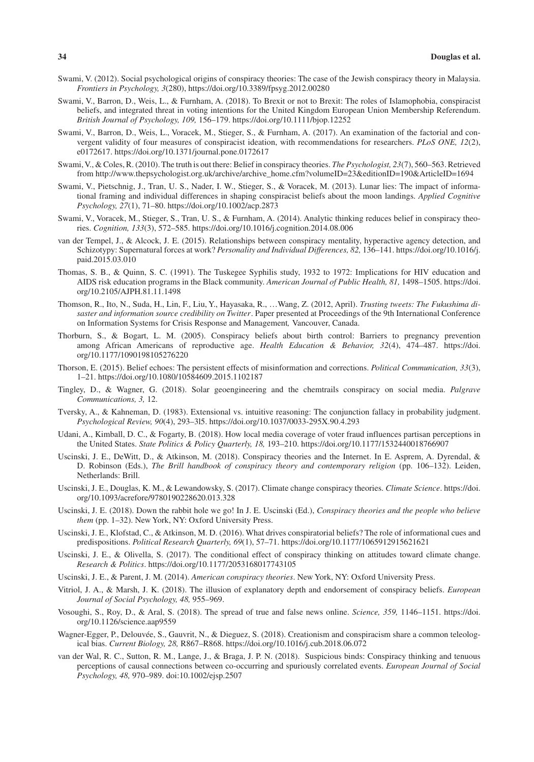- Swami, V. (2012). Social psychological origins of conspiracy theories: The case of the Jewish conspiracy theory in Malaysia. *Frontiers in Psychology, 3*(280), <https://doi.org/10.3389/fpsyg.2012.00280>
- Swami, V., Barron, D., Weis, L., & Furnham, A. (2018). To Brexit or not to Brexit: The roles of Islamophobia, conspiracist beliefs, and integrated threat in voting intentions for the United Kingdom European Union Membership Referendum. *British Journal of Psychology, 109,* 156–179. <https://doi.org/10.1111/bjop.12252>
- Swami, V., Barron, D., Weis, L., Voracek, M., Stieger, S., & Furnham, A. (2017). An examination of the factorial and convergent validity of four measures of conspiracist ideation, with recommendations for researchers. *PLoS ONE, 12*(2), e0172617.<https://doi.org/10.1371/journal.pone.0172617>
- Swami, V., & Coles, R. (2010). The truth is out there: Belief in conspiracy theories. *The Psychologist, 23*(7), 560–563. Retrieved from [http://www.thepsychologist.org.uk/archive/archive\\_home.cfm?volumeID=23&editionID=190&ArticleID=1694](http://www.thepsychologist.org.uk/archive/archive_home.cfm?volumeID=23&editionID=190&ArticleID=1694)
- Swami, V., Pietschnig, J., Tran, U. S., Nader, I. W., Stieger, S., & Voracek, M. (2013). Lunar lies: The impact of informational framing and individual differences in shaping conspiracist beliefs about the moon landings. *Applied Cognitive Psychology, 27*(1), 71–80.<https://doi.org/10.1002/acp.2873>
- Swami, V., Voracek, M., Stieger, S., Tran, U. S., & Furnham, A. (2014). Analytic thinking reduces belief in conspiracy theories. *Cognition, 133*(3), 572–585.<https://doi.org/10.1016/j.cognition.2014.08.006>
- van der Tempel, J., & Alcock, J. E. (2015). Relationships between conspiracy mentality, hyperactive agency detection, and Schizotypy: Supernatural forces at work? *Personality and Individual Differences, 82,* 136–141. [https://doi.org/10.1016/j.](https://doi.org/10.1016/j.paid.2015.03.010) [paid.2015.03.010](https://doi.org/10.1016/j.paid.2015.03.010)
- Thomas, S. B., & Quinn, S. C. (1991). The Tuskegee Syphilis study, 1932 to 1972: Implications for HIV education and AIDS risk education programs in the Black community. *American Journal of Public Health, 81,* 1498–1505. [https://doi.](https://doi.org/10.2105/AJPH.81.11.1498) [org/10.2105/AJPH.81.11.1498](https://doi.org/10.2105/AJPH.81.11.1498)
- Thomson, R., Ito, N., Suda, H., Lin, F., Liu, Y., Hayasaka, R., …Wang, Z. (2012, April). *Trusting tweets: The Fukushima disaster and information source credibility on Twitter* . Paper presented at Proceedings of the 9th International Conference on Information Systems for Crisis Response and Management*,* Vancouver, Canada.
- Thorburn, S., & Bogart, L. M. (2005). Conspiracy beliefs about birth control: Barriers to pregnancy prevention among African Americans of reproductive age. *Health Education & Behavior, 32*(4), 474–487. [https://doi.](https://doi.org/10.1177/1090198105276220) [org/10.1177/1090198105276220](https://doi.org/10.1177/1090198105276220)
- Thorson, E. (2015). Belief echoes: The persistent effects of misinformation and corrections. *Political Communication, 33*(3), 1–21. <https://doi.org/10.1080/10584609.2015.1102187>
- Tingley, D., & Wagner, G. (2018). Solar geoengineering and the chemtrails conspiracy on social media. *Palgrave Communications, 3,* 12.
- Tversky, A., & Kahneman, D. (1983). Extensional vs. intuitive reasoning: The conjunction fallacy in probability judgment. *Psychological Review, 90*(4), 293–3l5. <https://doi.org/10.1037/0033-295X.90.4.293>
- Udani, A., Kimball, D. C., & Fogarty, B. (2018). How local media coverage of voter fraud influences partisan perceptions in the United States. *State Politics & Policy Quarterly, 18,* 193–210.<https://doi.org/10.1177/1532440018766907>
- Uscinski, J. E., DeWitt, D., & Atkinson, M. (2018). Conspiracy theories and the Internet. In E. Asprem, A. Dyrendal, & D. Robinson (Eds.), *The Brill handbook of conspiracy theory and contemporary religion* (pp. 106–132). Leiden, Netherlands: Brill.
- Uscinski, J. E., Douglas, K. M., & Lewandowsky, S. (2017). Climate change conspiracy theories. *Climate Science*. [https://doi.](https://doi.org/10.1093/acrefore/9780190228620.013.328) [org/10.1093/acrefore/9780190228620.013.328](https://doi.org/10.1093/acrefore/9780190228620.013.328)
- Uscinski, J. E. (2018). Down the rabbit hole we go! In J. E. Uscinski (Ed.), *Conspiracy theories and the people who believe them* (pp. 1–32). New York, NY: Oxford University Press.
- Uscinski, J. E., Klofstad, C., & Atkinson, M. D. (2016). What drives conspiratorial beliefs? The role of informational cues and predispositions. *Political Research Quarterly, 69*(1), 57–71. <https://doi.org/10.1177/1065912915621621>
- Uscinski, J. E., & Olivella, S. (2017). The conditional effect of conspiracy thinking on attitudes toward climate change. *Research & Politics*.<https://doi.org/10.1177/2053168017743105>
- Uscinski, J. E., & Parent, J. M. (2014). *American conspiracy theories*. New York, NY: Oxford University Press.
- Vitriol, J. A., & Marsh, J. K. (2018). The illusion of explanatory depth and endorsement of conspiracy beliefs. *European Journal of Social Psychology, 48,* 955–969.
- Vosoughi, S., Roy, D., & Aral, S. (2018). The spread of true and false news online. *Science, 359,* 1146–1151. [https://doi.](https://doi.org/10.1126/science.aap9559) [org/10.1126/science.aap9559](https://doi.org/10.1126/science.aap9559)
- Wagner-Egger, P., Delouvée, S., Gauvrit, N., & Dieguez, S. (2018). Creationism and conspiracism share a common teleological bias. *Current Biology, 28,* R867–R868.<https://doi.org/10.1016/j.cub.2018.06.072>
- van der Wal, R. C., Sutton, R. M., Lange, J., & Braga, J. P. N. (2018). Suspicious binds: Conspiracy thinking and tenuous perceptions of causal connections between co-occurring and spuriously correlated events. *European Journal of Social Psychology, 48,* 970–989. doi[:10.1002/ejsp.2507](https://doi.org/10.1002/ejsp.2507)